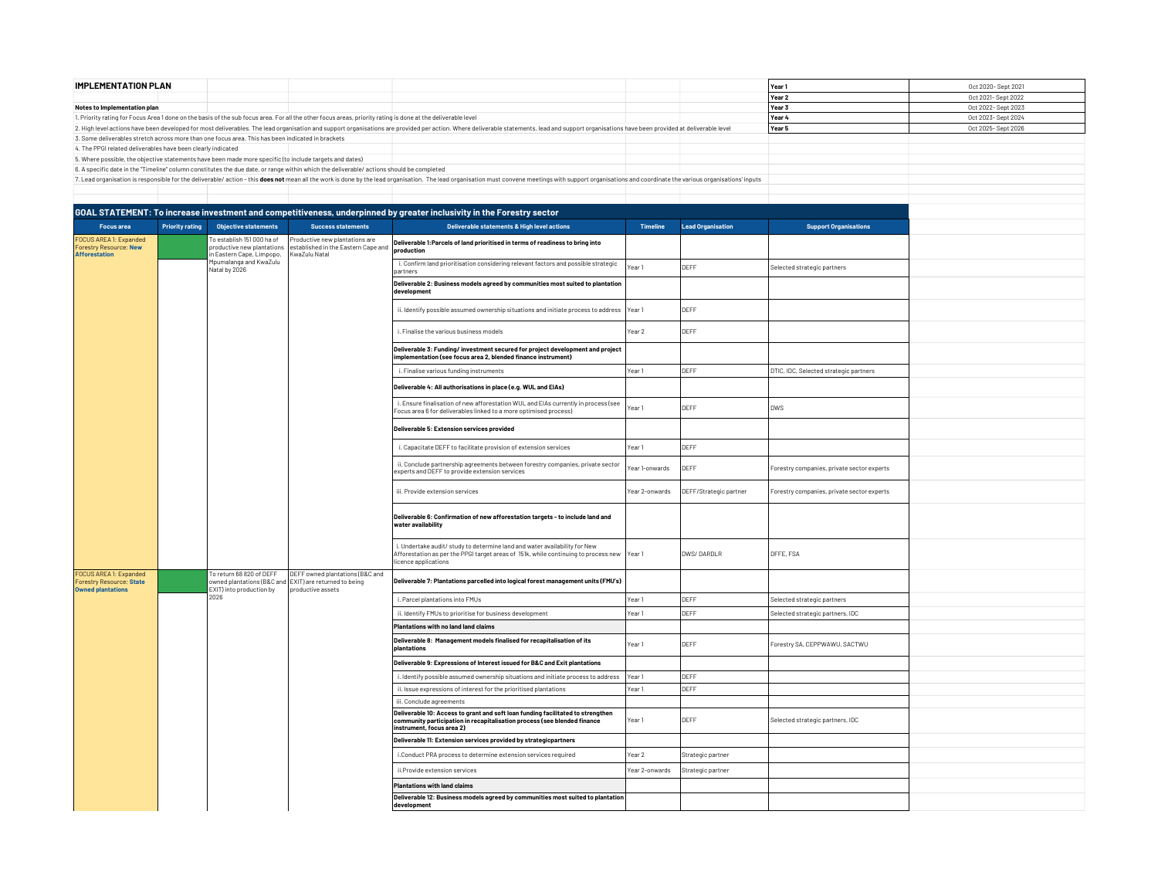| <b>IMPLEMENTATION PLAN</b>                                                                              |                        |                                                                                                                                  |                                                                                                                                                              |                                                                                                                                                                                                                                |                   |                          | Year 1                                     | Oct 2020- Sept 2021 |
|---------------------------------------------------------------------------------------------------------|------------------------|----------------------------------------------------------------------------------------------------------------------------------|--------------------------------------------------------------------------------------------------------------------------------------------------------------|--------------------------------------------------------------------------------------------------------------------------------------------------------------------------------------------------------------------------------|-------------------|--------------------------|--------------------------------------------|---------------------|
|                                                                                                         |                        |                                                                                                                                  |                                                                                                                                                              |                                                                                                                                                                                                                                |                   |                          | Year 2                                     | Oct 2021- Sept 2022 |
| Notes to Implementation plan                                                                            |                        |                                                                                                                                  |                                                                                                                                                              |                                                                                                                                                                                                                                |                   |                          | Year 3                                     | Oct 2022-Sept 2023  |
|                                                                                                         |                        |                                                                                                                                  | 1. Priority rating for Focus Area 1 done on the basis of the sub focus area. For all the other focus areas, priority rating is done at the deliverable level |                                                                                                                                                                                                                                |                   |                          | Year 4                                     | Oct 2023- Sept 2024 |
|                                                                                                         |                        |                                                                                                                                  |                                                                                                                                                              | 2. High level actions have been developed for most deliverables. The lead organisation and support organisations are provided per action. Where deliverable statements, lead and support organisations have been provided at d |                   |                          | Year 5                                     | Oct 2025- Sept 2026 |
| 3. Some deliverables stretch across more than one focus area. This has been indicated in brackets       |                        |                                                                                                                                  |                                                                                                                                                              |                                                                                                                                                                                                                                |                   |                          |                                            |                     |
| 4. The PPGI related deliverables have been clearly indicated                                            |                        |                                                                                                                                  |                                                                                                                                                              |                                                                                                                                                                                                                                |                   |                          |                                            |                     |
| 5. Where possible, the objective statements have been made more specific (to include targets and dates) |                        |                                                                                                                                  | 6. A specific date in the "Timeline" column constitutes the due date, or range within which the deliverable/ actions should be completed                     |                                                                                                                                                                                                                                |                   |                          |                                            |                     |
|                                                                                                         |                        |                                                                                                                                  |                                                                                                                                                              | 7. Lead organisation is responsible for the deliverable/ action - this does not mean all the work is done by the lead organisation. The lead organisation must convene meetings with support organisations and coordinate the  |                   |                          |                                            |                     |
|                                                                                                         |                        |                                                                                                                                  |                                                                                                                                                              |                                                                                                                                                                                                                                |                   |                          |                                            |                     |
|                                                                                                         |                        |                                                                                                                                  |                                                                                                                                                              |                                                                                                                                                                                                                                |                   |                          |                                            |                     |
|                                                                                                         |                        |                                                                                                                                  |                                                                                                                                                              | GOAL STATEMENT: To increase investment and competitiveness, underpinned by greater inclusivity in the Forestry sector                                                                                                          |                   |                          |                                            |                     |
| <b>Focus</b> area                                                                                       | <b>Priority rating</b> | <b>Objective statements</b>                                                                                                      | <b>Success statements</b>                                                                                                                                    | Deliverable statements & High level actions                                                                                                                                                                                    | <b>Timeline</b>   | <b>Lead Organisation</b> | <b>Support Organisations</b>               |                     |
| FOCUS AREA 1: Expanded<br><b>Forestry Resource: New</b><br><b>Afforestation</b>                         |                        | To establish 151 000 ha of<br>productive new plantations<br>in Eastern Cape, Limpopo,<br>Moumalanga and KwaZulu<br>Natal by 2026 | Productive new plantations are<br>established in the Eastern Cape and<br>KwaZulu Natal                                                                       | Deliverable 1: Parcels of land prioritised in terms of readiness to bring into<br>production                                                                                                                                   |                   |                          |                                            |                     |
|                                                                                                         |                        |                                                                                                                                  |                                                                                                                                                              | i. Confirm land prioritisation considering relevant factors and possible strategic<br>partners                                                                                                                                 | Year 1            | DEFF                     | Selected strategic partners                |                     |
|                                                                                                         |                        |                                                                                                                                  |                                                                                                                                                              | Deliverable 2: Business models agreed by communities most suited to plantation<br>development                                                                                                                                  |                   |                          |                                            |                     |
|                                                                                                         |                        |                                                                                                                                  |                                                                                                                                                              | ii. Identify possible assumed ownership situations and initiate process to address   Year 1                                                                                                                                    |                   | DEFF                     |                                            |                     |
|                                                                                                         |                        |                                                                                                                                  |                                                                                                                                                              | i. Finalise the various business models                                                                                                                                                                                        | Year 2            | DEFF                     |                                            |                     |
|                                                                                                         |                        |                                                                                                                                  |                                                                                                                                                              | Deliverable 3: Funding/ investment secured for project development and project<br>implementation (see focus area 2, blended finance instrument)                                                                                |                   |                          |                                            |                     |
|                                                                                                         |                        |                                                                                                                                  |                                                                                                                                                              | i. Finalise various funding instruments                                                                                                                                                                                        | Year 1            | DEFF                     | DTIC, IDC, Selected strategic partners     |                     |
|                                                                                                         |                        |                                                                                                                                  |                                                                                                                                                              | Deliverable 4: All authorisations in place (e.g. WUL and EIAs)                                                                                                                                                                 |                   |                          |                                            |                     |
|                                                                                                         |                        |                                                                                                                                  |                                                                                                                                                              | i. Ensure finalisation of new afforestation WUL and EIAs currently in process (see<br>Focus area 6 for deliverables linked to a more optimised process)                                                                        | ear 1             | DEFF                     | <b>DWS</b>                                 |                     |
|                                                                                                         |                        |                                                                                                                                  |                                                                                                                                                              | Deliverable 5: Extension services provided                                                                                                                                                                                     |                   |                          |                                            |                     |
|                                                                                                         |                        |                                                                                                                                  |                                                                                                                                                              | i. Capacitate DEFF to facilitate provision of extension services                                                                                                                                                               | Year <sub>1</sub> | DEFF                     |                                            |                     |
|                                                                                                         |                        |                                                                                                                                  |                                                                                                                                                              | ii. Conclude partnership agreements between forestry companies, private sector<br>experts and DEFF to provide extension services                                                                                               | ear 1-onwards     | DEFF                     | Forestry companies, private sector experts |                     |
|                                                                                                         |                        |                                                                                                                                  |                                                                                                                                                              | iii. Provide extension services                                                                                                                                                                                                | Year 2-onwards    | DEFF/Strategic partner   | Forestry companies, private sector experts |                     |
|                                                                                                         |                        |                                                                                                                                  |                                                                                                                                                              | Deliverable 6: Confirmation of new afforestation targets - to include land and<br>water availability                                                                                                                           |                   |                          |                                            |                     |
|                                                                                                         |                        |                                                                                                                                  |                                                                                                                                                              | i. Undertake audit/ study to determine land and water availability for New<br>Afforestation as per the PPGI target areas of 151k, while continuing to process new<br>icence applications                                       | Year <sub>1</sub> | DWS/DARDLR               | DFFE, FSA                                  |                     |
| FOCUS AREA 1: Expanded<br><b>Forestry Resource: State</b><br><b>Owned plantations</b>                   |                        | To return 68 820 of DEFF<br>owned plantations (B&C and EXIT) are returned to being<br>EXIT) into production by                   | DEFF owned plantations (B&C and<br>Inroductive assets                                                                                                        | Deliverable 7: Plantations parcelled into logical forest management units (FMU's)                                                                                                                                              |                   |                          |                                            |                     |
|                                                                                                         |                        | 2026                                                                                                                             |                                                                                                                                                              | i. Parcel plantations into FMUs                                                                                                                                                                                                | Year 1            | DEFF                     | Selected strategic partners                |                     |
|                                                                                                         |                        |                                                                                                                                  |                                                                                                                                                              | ii. Identify FMUs to prioritise for business development                                                                                                                                                                       | Year <sub>1</sub> | DEFF                     | Selected strategic partners, IDC           |                     |
|                                                                                                         |                        |                                                                                                                                  |                                                                                                                                                              | Plantations with no land land claims                                                                                                                                                                                           |                   |                          |                                            |                     |
|                                                                                                         |                        |                                                                                                                                  |                                                                                                                                                              | Deliverable 8: Management models finalised for recapitalisation of its<br>plantations                                                                                                                                          | Year 1            | DEFF                     | Forestry SA, CEPPWAWU, SACTWU              |                     |
|                                                                                                         |                        |                                                                                                                                  |                                                                                                                                                              | Deliverable 9: Expressions of Interest issued for B&C and Exit plantations                                                                                                                                                     |                   |                          |                                            |                     |
|                                                                                                         |                        |                                                                                                                                  |                                                                                                                                                              | i. Identify possible assumed ownership situations and initiate process to address                                                                                                                                              | Year <sub>1</sub> | DEFF                     |                                            |                     |
|                                                                                                         |                        |                                                                                                                                  |                                                                                                                                                              | ii. Issue expressions of interest for the prioritised plantations                                                                                                                                                              | Year <sub>1</sub> | DEFF                     |                                            |                     |
|                                                                                                         |                        |                                                                                                                                  |                                                                                                                                                              | iii. Conclude agreements                                                                                                                                                                                                       |                   |                          |                                            |                     |
|                                                                                                         |                        |                                                                                                                                  |                                                                                                                                                              | Deliverable 10: Access to grant and soft loan funding facilitated to strengthen<br>community participation in recapitalisation process (see blended finance<br>instrument, focus area 2)                                       | Year 1            | DEFF                     | Selected strategic partners, IDC           |                     |
|                                                                                                         |                        |                                                                                                                                  |                                                                                                                                                              | Deliverable 11: Extension services provided by strategicpartners                                                                                                                                                               |                   |                          |                                            |                     |
|                                                                                                         |                        |                                                                                                                                  |                                                                                                                                                              | i.Conduct PRA process to determine extension services required                                                                                                                                                                 | Year 2            | Strategic partner        |                                            |                     |
|                                                                                                         |                        |                                                                                                                                  |                                                                                                                                                              | ii.Provide extension services                                                                                                                                                                                                  | Year 2-onwards    | Strategic partner        |                                            |                     |
|                                                                                                         |                        |                                                                                                                                  |                                                                                                                                                              | <b>Plantations with land claims</b>                                                                                                                                                                                            |                   |                          |                                            |                     |
|                                                                                                         |                        |                                                                                                                                  |                                                                                                                                                              | Deliverable 12: Business models agreed by communities most suited to plantation<br>development                                                                                                                                 |                   |                          |                                            |                     |
|                                                                                                         |                        |                                                                                                                                  |                                                                                                                                                              |                                                                                                                                                                                                                                |                   |                          |                                            |                     |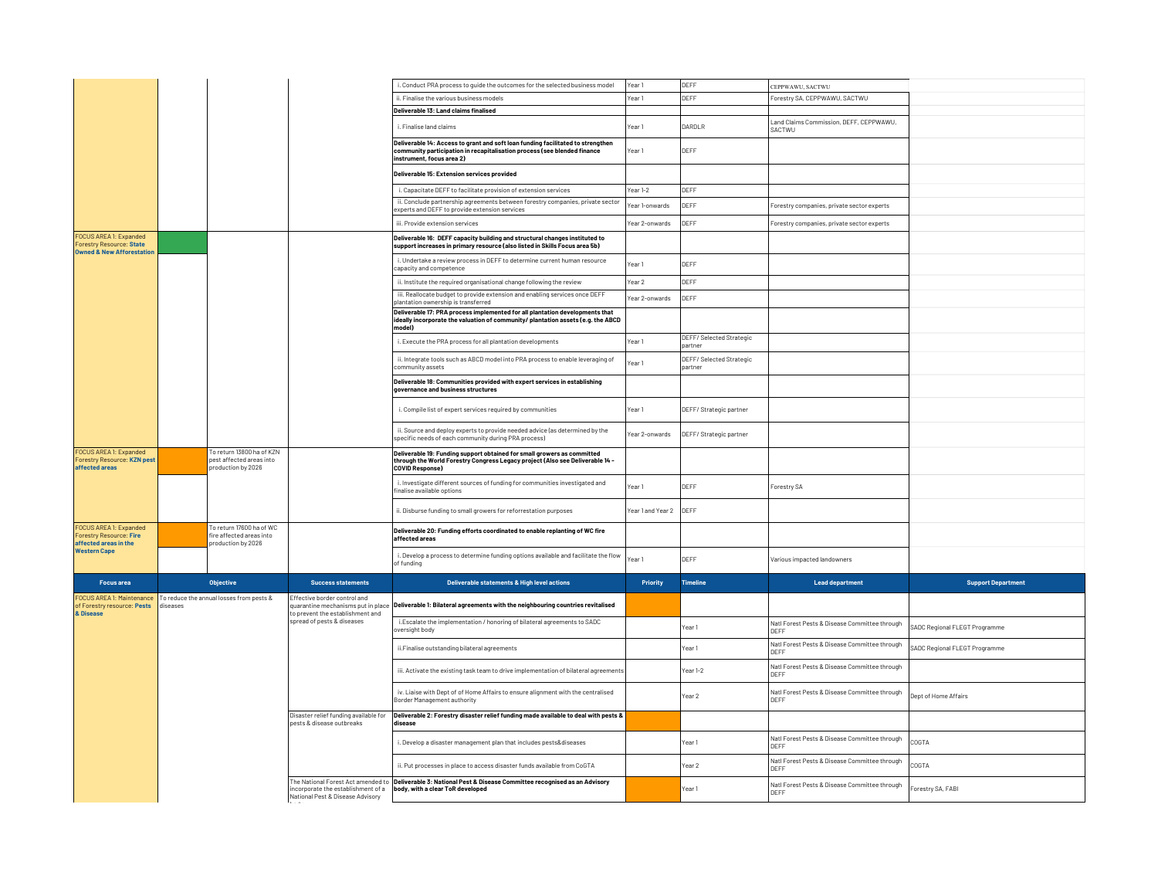|                                                                                                   |          |                                                                             |                                                                        | i. Conduct PRA process to guide the outcomes for the selected business model                                                                                                             | Year 1                 | DEFF                                | CEPPWAWU, SACTWU                                              |                               |
|---------------------------------------------------------------------------------------------------|----------|-----------------------------------------------------------------------------|------------------------------------------------------------------------|------------------------------------------------------------------------------------------------------------------------------------------------------------------------------------------|------------------------|-------------------------------------|---------------------------------------------------------------|-------------------------------|
|                                                                                                   |          |                                                                             |                                                                        | ii. Finalise the various business models                                                                                                                                                 | Year <sub>1</sub>      | DEFF                                | Forestry SA, CEPPWAWU, SACTWU                                 |                               |
|                                                                                                   |          |                                                                             |                                                                        | Deliverable 13: Land claims finalised                                                                                                                                                    |                        |                                     |                                                               |                               |
|                                                                                                   |          |                                                                             |                                                                        | i. Finalise land claims                                                                                                                                                                  | Year 1                 | DARDLR                              | Land Claims Commission, DEFF, CEPPWAWU,<br>SACTWU             |                               |
|                                                                                                   |          |                                                                             |                                                                        | Deliverable 14: Access to grant and soft loan funding facilitated to strengthen<br>community participation in recapitalisation process (see blended finance<br>instrument, focus area 2) | Year 1                 | DEFF                                |                                                               |                               |
|                                                                                                   |          |                                                                             |                                                                        | Deliverable 15: Extension services provided                                                                                                                                              |                        |                                     |                                                               |                               |
|                                                                                                   |          |                                                                             |                                                                        | i. Capacitate DEFF to facilitate provision of extension services                                                                                                                         | Year 1-2               | DEFF                                |                                                               |                               |
|                                                                                                   |          |                                                                             |                                                                        | ii. Conclude partnership agreements between forestry companies, private sector<br>experts and DEFF to provide extension services                                                         | Year 1-onwards         | DEFF                                | Forestry companies, private sector experts                    |                               |
|                                                                                                   |          |                                                                             |                                                                        | iii. Provide extension services                                                                                                                                                          | Year 2-onwards         | IDEEE                               | Forestry companies, private sector experts                    |                               |
| FOCUS AREA 1: Expanded<br><b>Forestry Resource: State</b><br><b>Owned &amp; New Afforestation</b> |          |                                                                             |                                                                        | Deliverable 16: DEFF capacity building and structural changes instituted to<br>support increases in primary resource (also listed in Skills Focus area 5b)                               |                        |                                     |                                                               |                               |
|                                                                                                   |          |                                                                             |                                                                        | i. Undertake a review process in DEFF to determine current human resource<br>capacity and competence                                                                                     | Year 1                 | DEFF                                |                                                               |                               |
|                                                                                                   |          |                                                                             |                                                                        | ii. Institute the required organisational change following the review                                                                                                                    | Year 2                 | DEFF                                |                                                               |                               |
|                                                                                                   |          |                                                                             |                                                                        | iii. Reallocate budget to provide extension and enabling services once DEFF<br>plantation ownership is transferred                                                                       | Year 2-onwards         | IDEEE                               |                                                               |                               |
|                                                                                                   |          |                                                                             |                                                                        | Deliverable 17: PRA process implemented for all plantation developments that<br>ideally incorporate the valuation of community/ plantation assets (e.g. the ABCD<br>model)               |                        |                                     |                                                               |                               |
|                                                                                                   |          |                                                                             |                                                                        | i. Execute the PRA process for all plantation developments                                                                                                                               | Year 1                 | DEFF/ Selected Strategic<br>partner |                                                               |                               |
|                                                                                                   |          |                                                                             |                                                                        | ii. Integrate tools such as ABCD model into PRA process to enable leveraging of<br>community assets:                                                                                     | Year 1                 | DEFF/ Selected Strategic<br>partner |                                                               |                               |
|                                                                                                   |          |                                                                             |                                                                        | Deliverable 18: Communities provided with expert services in establishing<br>governance and business structures                                                                          |                        |                                     |                                                               |                               |
|                                                                                                   |          |                                                                             |                                                                        | i. Compile list of expert services required by communities                                                                                                                               | Year 1                 | DEFF/ Strategic partner             |                                                               |                               |
|                                                                                                   |          |                                                                             |                                                                        | ii. Source and deploy experts to provide needed advice (as determined by the<br>specific needs of each community during PRA process)                                                     | Year 2-onwards         | DEFF/ Strategic partner             |                                                               |                               |
| FOCUS AREA 1: Expanded<br><b>Forestry Resource: KZN pest</b><br>affected areas                    |          | To return 13800 ha of KZN<br>pest affected areas into<br>production by 2026 |                                                                        | Deliverable 19: Funding support obtained for small growers as committed<br>through the World Forestry Congress Legacy project (Also see Deliverable 14 -<br>COVID Response)              |                        |                                     |                                                               |                               |
|                                                                                                   |          |                                                                             |                                                                        | i. Investigate different sources of funding for communities investigated and<br>finalise available options                                                                               | Year 1                 | DEFF                                | Forestry SA                                                   |                               |
|                                                                                                   |          |                                                                             |                                                                        | ii. Disburse funding to small growers for reforrestation purposes                                                                                                                        | Year 1 and Year 2 DEFF |                                     |                                                               |                               |
| FOCUS AREA 1: Expanded<br><b>Forestry Resource: Fire</b><br>affected areas in the                 |          | To return 17600 ha of WC<br>fire affected areas into<br>production by 2026  |                                                                        | Deliverable 20: Funding efforts coordinated to enable replanting of WC fire<br>affected areas                                                                                            |                        |                                     |                                                               |                               |
| <b>Western Cape</b>                                                                               |          |                                                                             |                                                                        | i. Develop a process to determine funding options available and facilitate the flow<br>of funding                                                                                        | Year 1                 | DEFF                                | Various impacted landowners                                   |                               |
| <b>Focus</b> area                                                                                 |          | <b>Objective</b>                                                            | <b>Success statements</b>                                              | Deliverable statements & High level actions                                                                                                                                              | <b>Priority</b>        | Timeline                            | <b>Lead department</b>                                        | <b>Support Department</b>     |
| <b>FOCUS AREA 1: Maintenance</b><br>of Forestry resource: Pests                                   | diseases | To reduce the annual losses from pests &                                    | Effective border control and<br>quarantine mechanisms put in place     | Deliverable 1: Bilateral agreements with the neighbouring countries revitalised                                                                                                          |                        |                                     |                                                               |                               |
| & Disease                                                                                         |          |                                                                             | to prevent the establishment and<br>spread of pests & diseases         | i.Escalate the implementation / honoring of bilateral agreements to SADC<br>oversight body                                                                                               |                        | Year 1                              | Natl Forest Pests & Disease Committee through<br>IDEEE        | SADC Regional FLEGT Programme |
|                                                                                                   |          |                                                                             |                                                                        | ii.Finalise outstanding bilateral agreements                                                                                                                                             |                        | Year 1                              | Natl Forest Pests & Disease Committee through<br><b>DEEF</b>  | SADC Regional FLEGT Programme |
|                                                                                                   |          |                                                                             |                                                                        | iii. Activate the existing task team to drive implementation of bilateral agreements                                                                                                     |                        | Year 1-2                            | Natl Forest Pests & Disease Committee through<br><b>IDEFF</b> |                               |
|                                                                                                   |          |                                                                             |                                                                        | iv. Liaise with Dept of of Home Affairs to ensure alignment with the centralised<br>Border Management authority                                                                          |                        | Year 2                              | Natl Forest Pests & Disease Committee through<br>IDEEE        | Dept of Home Affairs          |
|                                                                                                   |          |                                                                             | Disaster relief funding available for<br>nests & disease outbreaks     | Deliverable 2: Forestry disaster relief funding made available to deal with pests &<br>disease                                                                                           |                        |                                     |                                                               |                               |
|                                                                                                   |          |                                                                             |                                                                        | i. Develop a disaster management plan that includes pests&diseases                                                                                                                       |                        | Year 1                              | Natl Forest Pests & Disease Committee through<br>DEFF         | COGTA                         |
|                                                                                                   |          |                                                                             |                                                                        | ii. Put processes in place to access disaster funds available from CoGTA                                                                                                                 |                        | Year 2                              | Natl Forest Pests & Disease Committee through<br>DEFF         | COGTA                         |
|                                                                                                   |          |                                                                             | incorporate the establishment of a<br>National Pest & Disease Advisory | The National Forest Act amended to <b>Deliverable 3: National Pest &amp; Disease Committee recognised as an Advisory</b><br>body, with a clear ToR developed                             |                        | Year 1                              | Natl Forest Pests & Disease Committee through<br>DEFF         | Forestry SA, FABI             |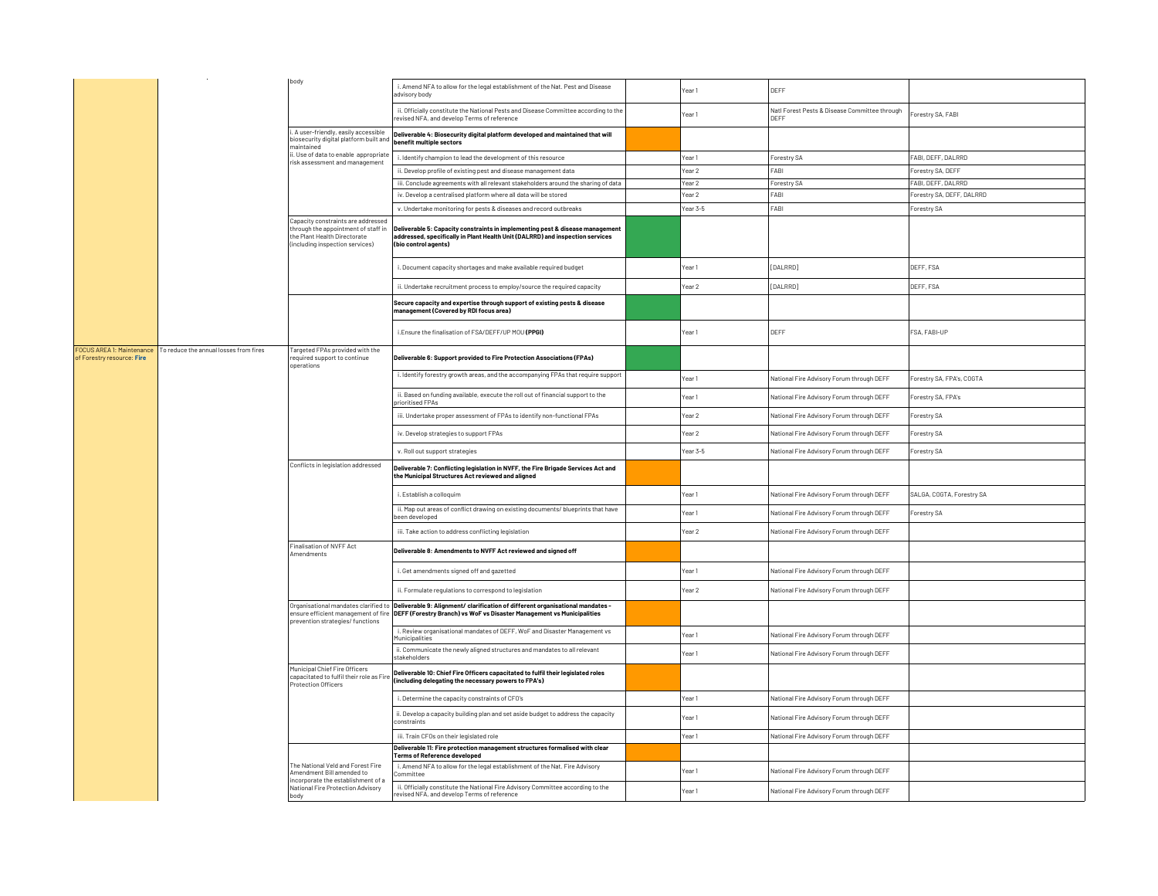|                                                         |                                        | body                                                                                                                                         | i. Amend NFA to allow for the legal establishment of the Nat. Pest and Disease<br>advisory body                                                                                                                                   | Year 1            | DEFF                                                         |                            |
|---------------------------------------------------------|----------------------------------------|----------------------------------------------------------------------------------------------------------------------------------------------|-----------------------------------------------------------------------------------------------------------------------------------------------------------------------------------------------------------------------------------|-------------------|--------------------------------------------------------------|----------------------------|
|                                                         |                                        |                                                                                                                                              | ii. Officially constitute the National Pests and Disease Committee according to the<br>revised NFA, and develop Terms of reference                                                                                                | Year 1            | Natl Forest Pests & Disease Committee through<br><b>DEFF</b> | Forestry SA, FABI          |
|                                                         |                                        | i. A user-friendly, easily accessible<br>biosecurity digital platform built and<br>maintained                                                | Deliverable 4: Biosecurity digital platform developed and maintained that will<br>benefit multiple sectors                                                                                                                        |                   |                                                              |                            |
|                                                         |                                        | ii. Use of data to enable appropriate<br>risk assessment and management                                                                      | i. Identify champion to lead the development of this resource                                                                                                                                                                     | Year 1            | Forestry SA                                                  | FABI, DEFF, DALRRD         |
|                                                         |                                        |                                                                                                                                              | ii. Develop profile of existing pest and disease management data                                                                                                                                                                  | Year 2            | FABI                                                         | Forestry SA, DEFF          |
|                                                         |                                        |                                                                                                                                              | iii. Conclude agreements with all relevant stakeholders around the sharing of data                                                                                                                                                | Year 2            | Forestry SA                                                  | FABI, DEFF, DALRRD         |
|                                                         |                                        |                                                                                                                                              | iv. Develop a centralised platform where all data will be stored                                                                                                                                                                  | Year 2            | FABI                                                         | Forestry SA, DEFF, DALRRD  |
|                                                         |                                        |                                                                                                                                              | v. Undertake monitoring for pests & diseases and record outbreaks                                                                                                                                                                 | Year 3-5          | FABI                                                         | Forestry SA                |
|                                                         |                                        | Capacity constraints are addressed<br>through the appointment of staff in<br>the Plant Health Directorate<br>(including inspection services) | Deliverable 5: Capacity constraints in implementing pest & disease management<br>addressed, specifically in Plant Health Unit (DALRRD) and inspection services<br>(bio control agents)                                            |                   |                                                              |                            |
|                                                         |                                        |                                                                                                                                              | i. Document capacity shortages and make available required budget                                                                                                                                                                 | Year 1            | [DALRRD]<br>DEFF, FSA                                        |                            |
|                                                         |                                        |                                                                                                                                              | ii. Undertake recruitment process to employ/source the required capacity                                                                                                                                                          | Year <sub>2</sub> | [DALRRD]                                                     | DEFF. FSA                  |
|                                                         |                                        |                                                                                                                                              | Secure capacity and expertise through support of existing pests & disease<br>management (Covered by RDI focus area)                                                                                                               |                   |                                                              |                            |
|                                                         |                                        |                                                                                                                                              | i.Ensure the finalisation of FSA/DEFF/UP MOU (PPGI)                                                                                                                                                                               | Year 1            | DEFF                                                         | FSA, FABI-UP               |
| FOCUS AREA 1: Maintenance<br>of Forestry resource: Fire | To reduce the annual losses from fires | Targeted FPAs provided with the<br>required support to continue<br>operations                                                                | Deliverable 6: Support provided to Fire Protection Associations (FPAs)                                                                                                                                                            |                   |                                                              |                            |
|                                                         |                                        |                                                                                                                                              | i. Identify forestry growth areas, and the accompanying FPAs that require support                                                                                                                                                 | Year 1            | National Fire Advisory Forum through DEFF                    | Forestry SA, FPA's, COGTA  |
|                                                         |                                        |                                                                                                                                              | ii. Based on funding available, execute the roll out of financial support to the<br>prioritised FPAs                                                                                                                              | Year 1            | National Fire Advisory Forum through DEFF                    | Forestry SA, FPA's         |
|                                                         |                                        |                                                                                                                                              | iii. Undertake proper assessment of FPAs to identify non-functional FPAs                                                                                                                                                          | Year 2            | National Fire Advisory Forum through DEFF                    | Forestry SA<br>Forestry SA |
|                                                         |                                        |                                                                                                                                              | iv. Develop strategies to support FPAs                                                                                                                                                                                            | Year 2            | National Fire Advisory Forum through DEFF                    |                            |
|                                                         |                                        |                                                                                                                                              | v. Roll out support strategies                                                                                                                                                                                                    | Year 3-5          | National Fire Advisory Forum through DEFF                    | Forestry SA                |
|                                                         |                                        | Conflicts in legislation addressed                                                                                                           | Deliverable 7: Conflicting legislation in NVFF, the Fire Brigade Services Act and<br>the Municipal Structures Act reviewed and aligned                                                                                            |                   |                                                              |                            |
|                                                         |                                        |                                                                                                                                              | i. Establish a colloquim                                                                                                                                                                                                          | Year 1            | National Fire Advisory Forum through DEFF                    | SALGA, COGTA, Forestry SA  |
|                                                         |                                        |                                                                                                                                              | ii. Map out areas of conflict drawing on existing documents/ blueprints that have<br>been developed                                                                                                                               | Year <sub>1</sub> | National Fire Advisory Forum through DEFF                    | Forestry SA                |
|                                                         |                                        |                                                                                                                                              | iii. Take action to address conflicting legislation                                                                                                                                                                               | Year 2            | National Fire Advisory Forum through DEFF                    |                            |
|                                                         |                                        | Finalisation of NVFF Act<br>Amendments                                                                                                       | Deliverable 8: Amendments to NVFF Act reviewed and signed off                                                                                                                                                                     |                   |                                                              |                            |
|                                                         |                                        |                                                                                                                                              | i. Get amendments signed off and gazetted                                                                                                                                                                                         | Year 1            | National Fire Advisory Forum through DEFF                    |                            |
|                                                         |                                        |                                                                                                                                              | ii. Formulate regulations to correspond to legislation                                                                                                                                                                            | Year <sub>2</sub> | National Fire Advisory Forum through DEFF                    |                            |
|                                                         |                                        | prevention strategies/ functions                                                                                                             | Organisational mandates clarified to Deliverable 9: Alignment/ clarification of different organisational mandates -<br>ensure efficient management of fire DEFF (Forestry Branch) vs WoF vs Disaster Management vs Municipalities |                   |                                                              |                            |
|                                                         |                                        |                                                                                                                                              | i. Review organisational mandates of DEFF, WoF and Disaster Management vs<br>Municipalities                                                                                                                                       | Year 1            | National Fire Advisory Forum through DEFF                    |                            |
|                                                         |                                        |                                                                                                                                              | ii. Communicate the newly aligned structures and mandates to all relevant<br>stakeholders                                                                                                                                         | Year 1            | National Fire Advisory Forum through DEFF                    |                            |
|                                                         |                                        | Municipal Chief Fire Officers<br>capacitated to fulfil their role as Fire<br><b>Protection Officers</b>                                      | Deliverable 10: Chief Fire Officers capacitated to fulfil their legislated roles<br>(including delegating the necessary powers to FPA's)                                                                                          |                   |                                                              |                            |
|                                                         |                                        |                                                                                                                                              | i. Determine the capacity constraints of CFO's                                                                                                                                                                                    | Year 1            | National Fire Advisory Forum through DEFF                    |                            |
|                                                         |                                        |                                                                                                                                              | ii. Develop a capacity building plan and set aside budget to address the capacity<br>constraints                                                                                                                                  | Year 1            | National Fire Advisory Forum through DEFF                    |                            |
|                                                         |                                        |                                                                                                                                              | iii. Train CFOs on their legislated role                                                                                                                                                                                          | Year 1            | National Fire Advisory Forum through DEFF                    |                            |
|                                                         |                                        |                                                                                                                                              | Deliverable 11: Fire protection management structures formalised with clear<br>Terms of Reference developed                                                                                                                       |                   |                                                              |                            |
|                                                         |                                        | The National Veld and Forest Fire<br>Amendment Bill amended to                                                                               | i. Amend NFA to allow for the legal establishment of the Nat. Fire Advisory<br>ommittee                                                                                                                                           | Year 1            | National Fire Advisory Forum through DEFF                    |                            |
|                                                         |                                        | incorporate the establishment of a<br>National Fire Protection Advisory                                                                      | ii. Officially constitute the National Fire Advisory Committee according to the<br>revised NFA, and develop Terms of reference                                                                                                    | Year <sub>1</sub> | National Fire Advisory Forum through DEFF                    |                            |
|                                                         |                                        | body                                                                                                                                         |                                                                                                                                                                                                                                   |                   |                                                              |                            |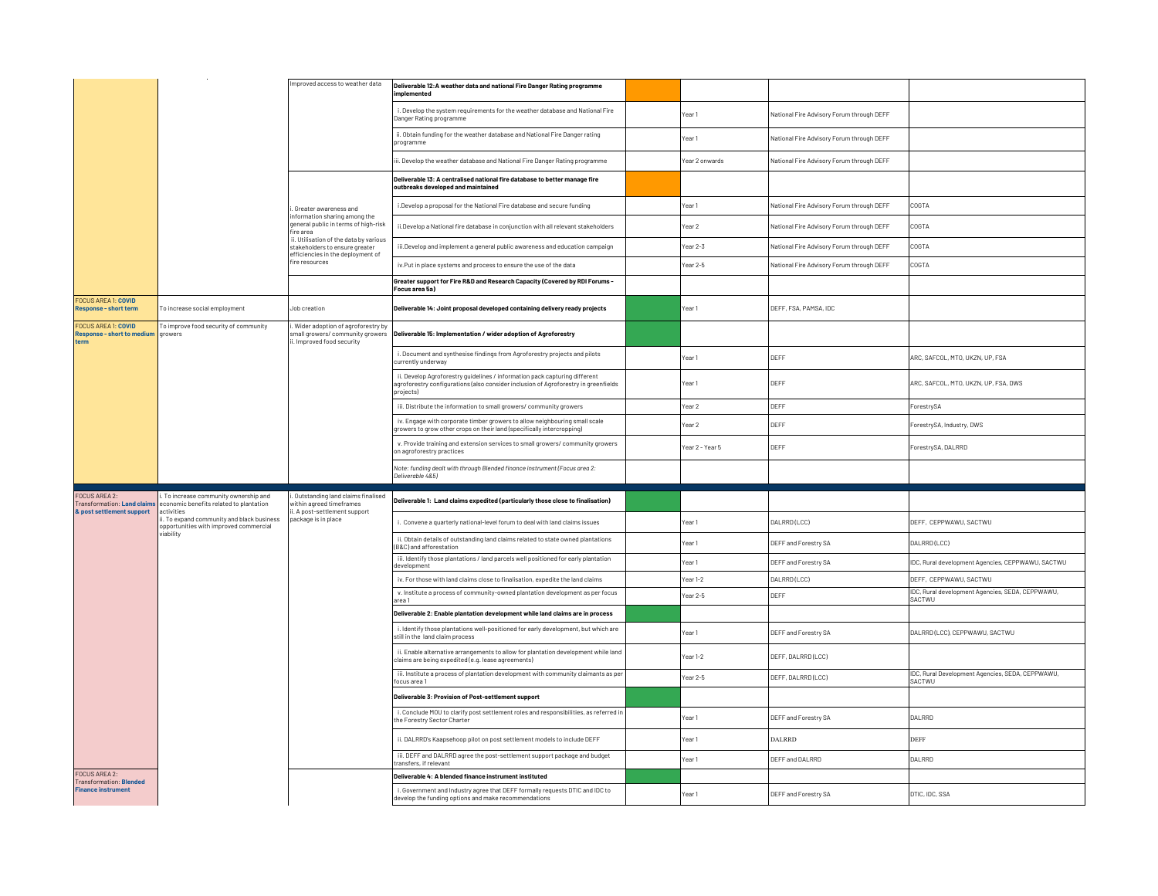|                                                                         |                                                                                                  | Improved access to weather data                                                                               | Deliverable 12:A weather data and national Fire Danger Rating programme<br>implemented                                                                                         |                   |                                           |                                                            |
|-------------------------------------------------------------------------|--------------------------------------------------------------------------------------------------|---------------------------------------------------------------------------------------------------------------|--------------------------------------------------------------------------------------------------------------------------------------------------------------------------------|-------------------|-------------------------------------------|------------------------------------------------------------|
|                                                                         |                                                                                                  |                                                                                                               | i. Develop the system requirements for the weather database and National Fire<br>Danger Rating programme                                                                       | Year <sub>1</sub> | National Fire Advisory Forum through DEFF |                                                            |
|                                                                         |                                                                                                  |                                                                                                               | ii. Obtain funding for the weather database and National Fire Danger rating<br>programme                                                                                       | Year 1            | National Fire Advisory Forum through DEFF |                                                            |
|                                                                         |                                                                                                  |                                                                                                               | ii. Develop the weather database and National Fire Danger Rating programme                                                                                                     | Year 2 onwards    | National Fire Advisory Forum through DEFF |                                                            |
|                                                                         |                                                                                                  |                                                                                                               | Deliverable 13: A centralised national fire database to better manage fire<br>outbreaks developed and maintained                                                               |                   |                                           |                                                            |
|                                                                         |                                                                                                  | . Greater awareness and<br>nformation sharing among the<br>general public in terms of high-risk<br>fire area  | i.Develop a proposal for the National Fire database and secure funding                                                                                                         | Year <sub>1</sub> | National Fire Advisory Forum through DEFF | COGTA                                                      |
|                                                                         |                                                                                                  |                                                                                                               | ii. Develop a National fire database in conjunction with all relevant stakeholders                                                                                             | Year 2            | National Fire Advisory Forum through DEFF | COGTA                                                      |
|                                                                         |                                                                                                  | ii. Utilisation of the data by various<br>stakeholders to ensure greater<br>efficiencies in the deployment of | iii.Develop and implement a general public awareness and education campaign                                                                                                    | Year 2-3          | National Fire Advisory Forum through DEFF | COGTA                                                      |
|                                                                         |                                                                                                  | fire resources                                                                                                | iv.Put in place systems and process to ensure the use of the data                                                                                                              | Year 2-5          | National Fire Advisory Forum through DEFF | COGTA                                                      |
|                                                                         |                                                                                                  |                                                                                                               | Greater support for Fire R&D and Research Capacity (Covered by RDI Forums -<br>Focus area 5a)                                                                                  |                   |                                           |                                                            |
| <b>FOCUS AREA 1: COVID</b><br>Response - short term                     | To increase social employment                                                                    | Job creation                                                                                                  | Deliverable 14: Joint proposal developed containing delivery ready projects                                                                                                    | Year1             | DEFF, FSA, PAMSA, IDC                     |                                                            |
| <b>FOCUS AREA 1: COVID</b><br><b>Response - short to medium</b><br>term | To improve food security of community<br>growers                                                 | i. Wider adoption of agroforestry by<br>mall growers/ community growers<br>i. Improved food security          | Deliverable 15: Implementation / wider adoption of Agroforestry                                                                                                                |                   |                                           |                                                            |
|                                                                         |                                                                                                  |                                                                                                               | i. Document and synthesise findings from Agroforestry projects and pilots<br>currently underway                                                                                | Year 1            | DEFF                                      | ARC, SAFCOL, MTO, UKZN, UP, FSA                            |
|                                                                         |                                                                                                  |                                                                                                               | ii. Develop Agroforestry guidelines / information pack capturing different<br>agroforestry configurations (also consider inclusion of Agroforestry in greenfields<br>projects) | Year <sub>1</sub> | DEFF                                      | ARC, SAFCOL, MTO, UKZN, UP, FSA, DWS                       |
|                                                                         |                                                                                                  |                                                                                                               | iii. Distribute the information to small growers/ community growers                                                                                                            | Year <sub>2</sub> | DEFF                                      | ForestrySA                                                 |
|                                                                         |                                                                                                  |                                                                                                               | iv. Engage with corporate timber growers to allow neighbouring small scale<br>growers to grow other crops on their land (specifically intercropping)                           | Year 2            | DEFF                                      | ForestrySA, Industry, DWS                                  |
|                                                                         |                                                                                                  |                                                                                                               | v. Provide training and extension services to small growers/ community growers<br>on agroforestry practices                                                                    | Year 2 - Year 5   | DEFF                                      | ForestrySA, DALRRD                                         |
|                                                                         |                                                                                                  |                                                                                                               | Note: funding dealt with through Blended finance instrument (Focus area 2:<br>Deliverable 4&5)                                                                                 |                   |                                           |                                                            |
| FOCUS AREA 2:<br><b>Transformation: Land claim</b>                      | . To increase community ownership and<br>conomic benefits related to plantation                  | i. Outstanding land claims finalised<br>within agreed timeframes                                              | Deliverable 1: Land claims expedited (particularly those close to finalisation)                                                                                                |                   |                                           |                                                            |
| & post settlement support                                               |                                                                                                  |                                                                                                               |                                                                                                                                                                                |                   |                                           |                                                            |
|                                                                         | activities<br>. To expand community and black business<br>opportunities with improved commercial | i. A post-settlement support<br>package is in place                                                           | i. Convene a quarterly national-level forum to deal with land claims issues                                                                                                    | Year 1            | DALRRD (LCC)                              | DEFF, CEPPWAWU, SACTWU                                     |
|                                                                         | riability                                                                                        |                                                                                                               | ii. Obtain details of outstanding land claims related to state owned plantations<br>(B&C) and afforestation                                                                    | Year 1            | DEFF and Forestry SA                      | DALRRD (LCC)                                               |
|                                                                         |                                                                                                  |                                                                                                               | iii. Identify those plantations / land parcels well positioned for early plantation<br>development                                                                             | Year 1            | DEFF and Forestry SA                      | IDC, Rural development Agencies, CEPPWAWU, SACTWU          |
|                                                                         |                                                                                                  |                                                                                                               | iv. For those with land claims close to finalisation, expedite the land claims                                                                                                 | Year 1-2          | DALRRD (LCC)                              | DEFF, CEPPWAWU, SACTWU                                     |
|                                                                         |                                                                                                  |                                                                                                               | v. Institute a process of community-owned plantation development as per focus<br>area 1                                                                                        | Year 2-5          | DEFF                                      | IDC, Rural development Agencies, SEDA, CEPPWAWU,<br>SACTWU |
|                                                                         |                                                                                                  |                                                                                                               | Deliverable 2: Enable plantation development while land claims are in process                                                                                                  |                   |                                           |                                                            |
|                                                                         |                                                                                                  |                                                                                                               | i. Identify those plantations well-positioned for early development, but which are<br>still in the land claim process                                                          | Year 1            | DEFF and Forestry SA                      | DALRRD (LCC), CEPPWAWU, SACTWU                             |
|                                                                         |                                                                                                  |                                                                                                               | ii. Enable alternative arrangements to allow for plantation development while land<br>claims are being expedited (e.g. lease agreements)                                       | Year 1-2          | DEFF, DALRRD(LCC)                         |                                                            |
|                                                                         |                                                                                                  |                                                                                                               | iii. Institute a process of plantation development with community claimants as per<br>focus area 1                                                                             | Year 2-5          | DEFF, DALRRD(LCC)                         | IDC, Rural Development Agencies, SEDA, CEPPWAWU,<br>SACTWU |
|                                                                         |                                                                                                  |                                                                                                               | Deliverable 3: Provision of Post-settlement support                                                                                                                            |                   |                                           |                                                            |
|                                                                         |                                                                                                  |                                                                                                               | i. Conclude MOU to clarify post settlement roles and responsibilities, as referred in<br>the Forestry Sector Charter                                                           | Year <sub>1</sub> | DEFF and Forestry SA                      | DALRRD                                                     |
|                                                                         |                                                                                                  |                                                                                                               | ii. DALRRD's Kaapsehoop pilot on post settlement models to include DEFF                                                                                                        | Year 1            | <b>DALRRD</b>                             | <b>DEFF</b>                                                |
|                                                                         |                                                                                                  |                                                                                                               | iii. DEFF and DALRRD agree the post-settlement support package and budget<br>transfers, if relevant                                                                            | Year 1            | DEFF and DALRRD                           | DALRRD                                                     |
| <b>FOCUS AREA 2:</b><br><b>Transformation: Blended</b>                  |                                                                                                  |                                                                                                               | Deliverable 4: A blended finance instrument instituted                                                                                                                         |                   |                                           |                                                            |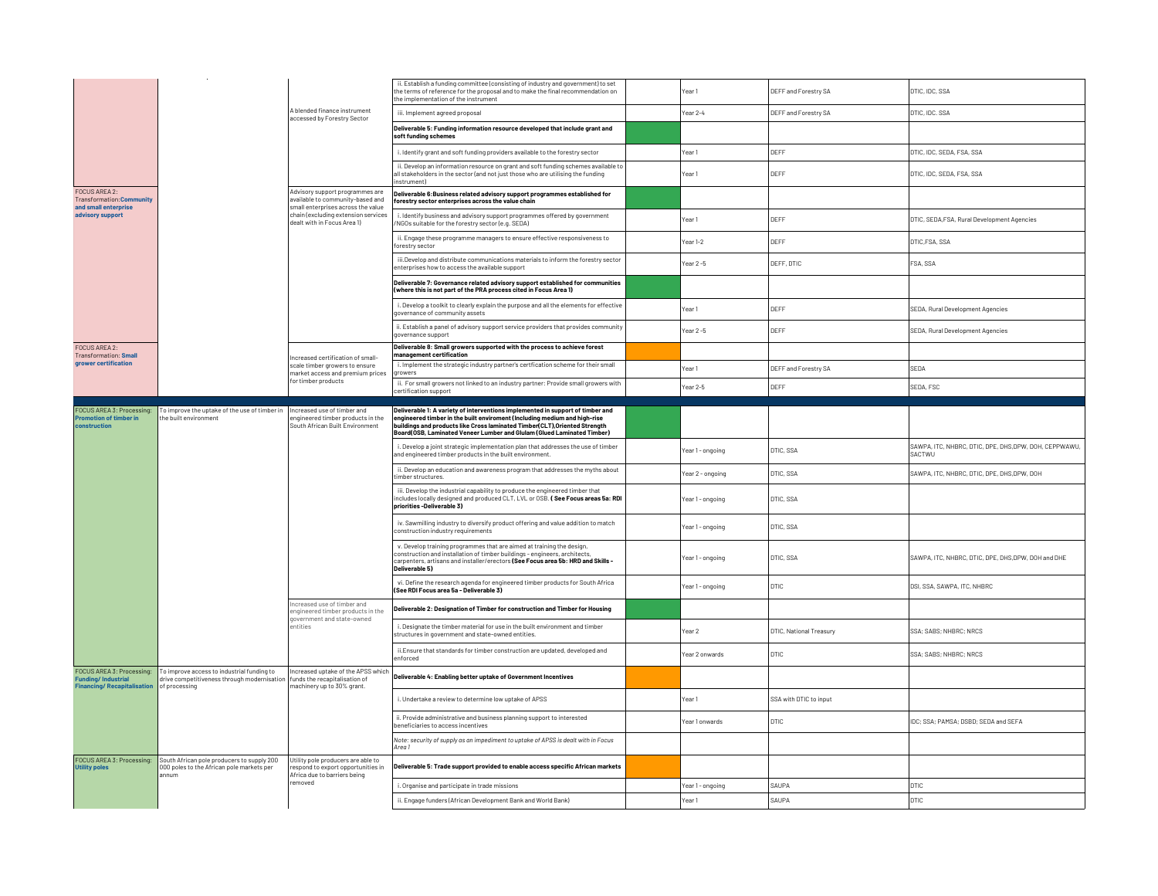|                                                                                             |                                                                                                                                            |                                                                                                           | ii. Establish a funding committee (consisting of industry and government) to set<br>the terms of reference for the proposal and to make the final recommendation on<br>the implementation of the instrument                                               | Year 1                        | DEFF and Forestry SA    | DTIC, IDC, SSA                                                   |
|---------------------------------------------------------------------------------------------|--------------------------------------------------------------------------------------------------------------------------------------------|-----------------------------------------------------------------------------------------------------------|-----------------------------------------------------------------------------------------------------------------------------------------------------------------------------------------------------------------------------------------------------------|-------------------------------|-------------------------|------------------------------------------------------------------|
|                                                                                             |                                                                                                                                            | A blended finance instrument<br>accessed by Forestry Sector                                               | iii. Implement agreed proposal                                                                                                                                                                                                                            | Year 2-4                      | DEFF and Forestry SA    | DTIC, IDC. SSA                                                   |
|                                                                                             |                                                                                                                                            |                                                                                                           | Deliverable 5: Funding information resource developed that include grant and<br>soft funding schemes                                                                                                                                                      |                               |                         |                                                                  |
|                                                                                             |                                                                                                                                            |                                                                                                           | i. Identify grant and soft funding providers available to the forestry sector                                                                                                                                                                             | Year 1                        | DEFF                    | DTIC. IDC. SEDA. ESA. SSA                                        |
|                                                                                             |                                                                                                                                            |                                                                                                           | ii. Develop an information resource on grant and soft funding schemes available to<br>all stakeholders in the sector (and not just those who are utilising the funding<br>nstrument)                                                                      | Year 1                        | DEFF                    | DTIC, IDC, SEDA, FSA, SSA                                        |
| FOCUS AREA 2:<br>Transformation: Con<br>and small enterprise                                |                                                                                                                                            | Advisory support programmes are<br>available to community-based and<br>small enterprises across the value | Deliverable 6: Business related advisory support programmes established for<br>forestry sector enterprises across the value chain                                                                                                                         |                               |                         |                                                                  |
| advisory support                                                                            |                                                                                                                                            | chain (excluding extension services<br>dealt with in Focus Area 1)                                        | i. Identify business and advisory support programmes offered by government<br>NGOs suitable for the forestry sector (e.g. SEDA)                                                                                                                           | Year 1                        | DEFF                    | DTIC, SEDA, FSA, Rural Development Agencies                      |
|                                                                                             |                                                                                                                                            |                                                                                                           | ii. Engage these programme managers to ensure effective responsiveness to<br>forestry sector                                                                                                                                                              | Year <sub>1-2</sub>           | DEFF                    | DTIC.FSA, SSA                                                    |
|                                                                                             |                                                                                                                                            |                                                                                                           | iii. Develop and distribute communications materials to inform the forestry sector<br>enterprises how to access the available support                                                                                                                     | Year 2-5                      | DEFF, DTIC              | FSA, SSA                                                         |
|                                                                                             |                                                                                                                                            |                                                                                                           | Deliverable 7: Governance related advisory support established for communities<br>(where this is not part of the PRA process cited in Focus Area 1)                                                                                                       |                               |                         |                                                                  |
|                                                                                             |                                                                                                                                            |                                                                                                           | i. Develop a toolkit to clearly explain the purpose and all the elements for effective<br>governance of community assets                                                                                                                                  | Year 1                        | DEFF                    | SEDA, Rural Development Agencies                                 |
|                                                                                             |                                                                                                                                            |                                                                                                           | ii. Establish a panel of advisory support service providers that provides community<br>governance support                                                                                                                                                 | Year 2 -5                     | DEFF                    | SEDA, Rural Development Agencies                                 |
| <b>FOCUS AREA 2:</b><br><b>Transformation: Small</b>                                        |                                                                                                                                            | Increased certification of small-                                                                         | Deliverable 8: Small growers supported with the process to achieve forest<br>management certification                                                                                                                                                     |                               |                         |                                                                  |
| grower certification                                                                        |                                                                                                                                            | scale timber growers to ensure<br>market access and premium prices                                        | i. Implement the strategic industry partner's certfication scheme for their small<br>growers                                                                                                                                                              | Year <sub>1</sub>             | DEFF and Forestry SA    | SEDA                                                             |
|                                                                                             |                                                                                                                                            | for timber products                                                                                       | ii. For small growers not linked to an industry partner: Provide small growers with<br>certification support                                                                                                                                              | Year 2-5                      | DEFF                    | SEDA, FSC                                                        |
| FOCUS AREA 3: Processing:                                                                   | To improve the uptake of the use of timber in   Increased use of timber and                                                                |                                                                                                           | Deliverable 1: A variety of interventions implemented in support of timber and                                                                                                                                                                            |                               |                         |                                                                  |
| <b>Promotion of timber in</b><br>construction                                               | the built environment                                                                                                                      | engineered timber products in the<br>South African Built Environment                                      | engineered timber in the built enviroment (Including medium and high-rise<br>buildings and products like Cross laminated Timber(CLT), Oriented Strength<br>Board(OSB, Laminated Veneer Lumber and Glulam (Glued Laminated Timber)                         |                               |                         |                                                                  |
|                                                                                             |                                                                                                                                            |                                                                                                           | i. Develop a joint strategic implementation plan that addresses the use of timber<br>and engineered timber products in the built environment.                                                                                                             | Year 1 - ongoing              | <b>DTIC, SSA</b>        | SAWPA, ITC, NHBRC, DTIC, DPE, DHS, DPW, DOH, CEPPWAWU,<br>SACTWU |
|                                                                                             |                                                                                                                                            |                                                                                                           | ii. Develop an education and awareness program that addresses the myths about<br>timber structures.                                                                                                                                                       | Year 2 - ongoing              | DTIC, SSA               | SAWPA, ITC, NHBRC, DTIC, DPE, DHS, DPW, DOH                      |
|                                                                                             |                                                                                                                                            |                                                                                                           | iii. Develop the industrial capability to produce the engineered timber that<br>includes locally designed and produced CLT, LVL or OSB. (See Focus areas 5a: RDI<br>priorities-Deliverable 3)                                                             | Year 1 - ongoing              | DTIC, SSA               |                                                                  |
|                                                                                             |                                                                                                                                            |                                                                                                           | iv. Sawmilling industry to diversify product offering and value addition to match<br>construction industry requirements                                                                                                                                   | DTIC, SSA<br>Year 1 - ongoing |                         |                                                                  |
|                                                                                             |                                                                                                                                            |                                                                                                           | v. Develop training programmes that are aimed at training the design,<br>construction and installation of timber buildings - engineers, architects,<br>carpenters, artisans and installer/erectors (See Focus area 5b: HRD and Skills -<br>Deliverable 5) | Year 1 - ongoing              | DTIC, SSA               | SAWPA, ITC, NHBRC, DTIC, DPE, DHS, DPW, DOH and DHE              |
|                                                                                             |                                                                                                                                            |                                                                                                           | vi. Define the research agenda for engineered timber products for South Africa<br>(See RDI Focus area 5a - Deliverable 3)                                                                                                                                 | Year 1 - ongoing              | <b>DTIC</b>             | DSI, SSA, SAWPA, ITC, NHBRC                                      |
|                                                                                             |                                                                                                                                            | Increased use of timber and<br>engineered timber products in the                                          | Deliverable 2: Designation of Timber for construction and Timber for Housing                                                                                                                                                                              |                               |                         |                                                                  |
|                                                                                             |                                                                                                                                            | government and state-owned<br>entities                                                                    | i. Designate the timber material for use in the built environment and timber<br>structures in government and state-owned entities.                                                                                                                        | Year <sub>2</sub>             | DTIC, National Treasury | SSA; SABS; NHBRC; NRCS                                           |
|                                                                                             |                                                                                                                                            |                                                                                                           | ii. Ensure that standards for timber construction are updated, developed and<br>enforced                                                                                                                                                                  | Year 2 onwards                | <b>DTIC</b>             | SSA; SABS; NHBRC; NRCS                                           |
| FOCUS AREA 3: Processing:<br><b>Funding/Industrial</b><br><b>Financing/Recapitalisation</b> | To improve access to industrial funding to<br>drive competitiveness through modernisation   funds the recapitalisation of<br>of processing | Increased uptake of the APSS which<br>machinery up to 30% grant.                                          | Deliverable 4: Enabling better uptake of Government Incentives                                                                                                                                                                                            |                               |                         |                                                                  |
|                                                                                             |                                                                                                                                            |                                                                                                           | i. Undertake a review to determine low uptake of APSS                                                                                                                                                                                                     | Year 1                        | SSA with DTIC to input  |                                                                  |
|                                                                                             |                                                                                                                                            |                                                                                                           | ii. Provide administrative and business planning support to interested<br>beneficiaries to access incentives                                                                                                                                              | Year 1 onwards                | DTIC                    | IDC; SSA; PAMSA; DSBD; SEDA and SEFA                             |
|                                                                                             |                                                                                                                                            |                                                                                                           | Note: security of supply as an impediment to uptake of APSS is dealt with in Focus<br>Area 1                                                                                                                                                              |                               |                         |                                                                  |
| FOCUS AREA 3: Processing:<br><b>Utility poles</b>                                           | South African pole producers to supply 200<br>000 poles to the African pole markets per<br>annum                                           | Utility pole producers are able to<br>respond to export opportunities in<br>Africa due to barriers being  | Deliverable 5: Trade support provided to enable access specific African markets                                                                                                                                                                           |                               |                         |                                                                  |
|                                                                                             |                                                                                                                                            | removed                                                                                                   | i. Organise and participate in trade missions                                                                                                                                                                                                             | Year 1 - ongoing              | SAUPA                   | <b>DTIC</b>                                                      |
|                                                                                             |                                                                                                                                            |                                                                                                           | ii. Engage funders (African Development Bank and World Bank)                                                                                                                                                                                              | Year <sub>1</sub>             | SAUPA                   | DTIC                                                             |
|                                                                                             |                                                                                                                                            |                                                                                                           |                                                                                                                                                                                                                                                           |                               |                         |                                                                  |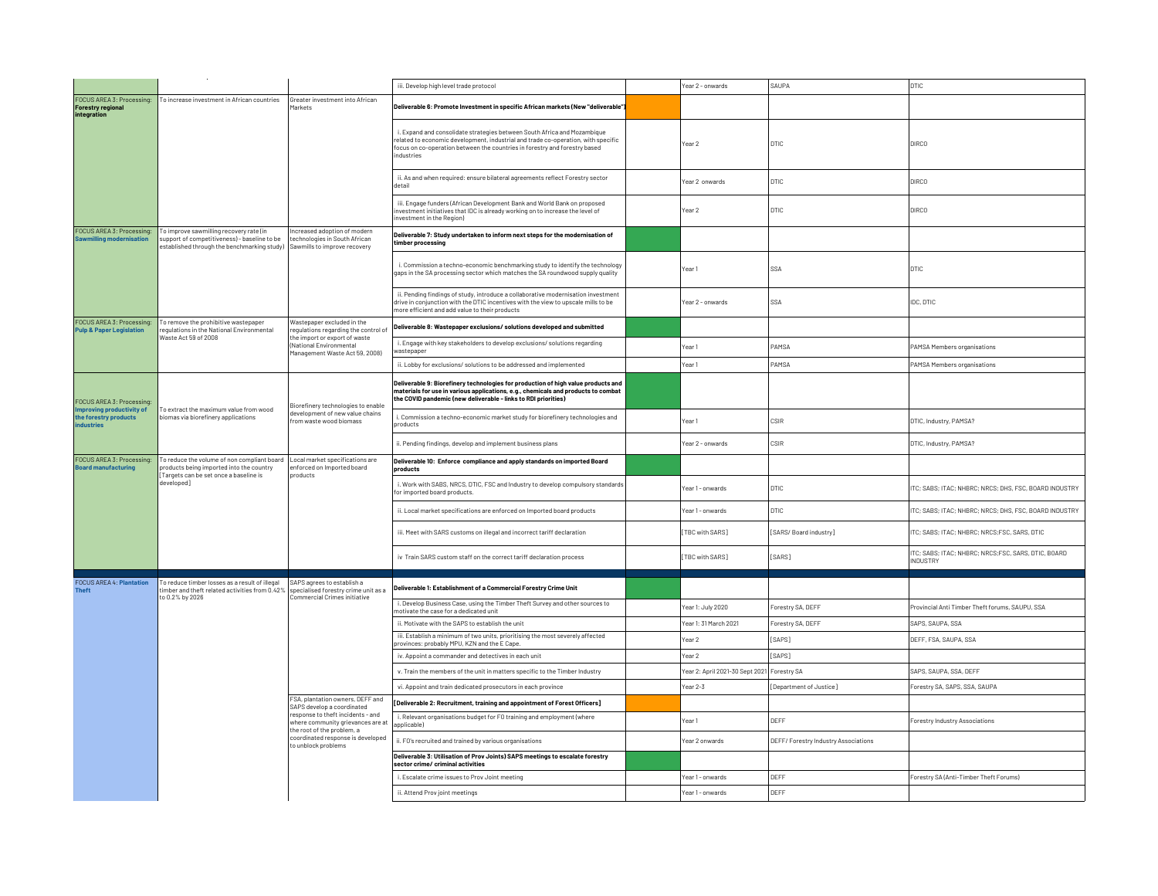|                                                                         |                                                                                                                                                                                    |                                                                                                                                                                                                                           | iii. Develop high level trade protocol                                                                                                                                                                                                                    | Year 2 - onwards                            | SAUPA                                | <b>DTIC</b>                                                            |
|-------------------------------------------------------------------------|------------------------------------------------------------------------------------------------------------------------------------------------------------------------------------|---------------------------------------------------------------------------------------------------------------------------------------------------------------------------------------------------------------------------|-----------------------------------------------------------------------------------------------------------------------------------------------------------------------------------------------------------------------------------------------------------|---------------------------------------------|--------------------------------------|------------------------------------------------------------------------|
| FOCUS AREA 3: Processing:<br><b>Forestry regional</b><br>integration    | To increase investment in African countries                                                                                                                                        | Greater investment into African<br><b>Markets</b>                                                                                                                                                                         | Deliverable 6: Promote Investment in specific African markets (New "deliverable"                                                                                                                                                                          |                                             |                                      |                                                                        |
|                                                                         |                                                                                                                                                                                    |                                                                                                                                                                                                                           | i. Expand and consolidate strategies between South Africa and Mozambique<br>related to economic development, industrial and trade co-operation, with specific<br>focus on co-operation between the countries in forestry and forestry based<br>industries | Year 2                                      | <b>DTIC</b>                          | <b>DIRCO</b>                                                           |
|                                                                         |                                                                                                                                                                                    |                                                                                                                                                                                                                           | ii. As and when required: ensure bilateral agreements reflect Forestry sector<br>detail                                                                                                                                                                   | Year 2 onwards                              | <b>DTIC</b>                          | <b>DIRCO</b>                                                           |
|                                                                         |                                                                                                                                                                                    |                                                                                                                                                                                                                           | iii. Engage funders (African Development Bank and World Bank on proposed<br>investment initiatives that IDC is already working on to increase the level of<br>investment in the Region)                                                                   | Year 2                                      | <b>DTIC</b>                          | <b>DIRCO</b>                                                           |
| FOCUS AREA 3: Processing:<br>ng modernisation                           | To improve sawmilling recovery rate (in<br>support of competitiveness) - baseline to be<br>established through the benchmarking study) Sawmills to improve recovery                | ncreased adoption of modern<br>echnologies in South African                                                                                                                                                               | Deliverable 7: Study undertaken to inform next steps for the modernisation of<br>timber processing                                                                                                                                                        |                                             |                                      |                                                                        |
|                                                                         |                                                                                                                                                                                    |                                                                                                                                                                                                                           | i. Commission a techno-economic benchmarking study to identify the technology<br>gaps in the SA processing sector which matches the SA roundwood supply quality                                                                                           | l Year 1                                    | SSA                                  | <b>DTIC</b>                                                            |
|                                                                         |                                                                                                                                                                                    | ii. Pending findings of study, introduce a collaborative modernisation investment<br>drive in conjunction with the DTIC incentives with the view to upscale mills to be<br>nore efficient and add value to their products | Year 2 - onwards                                                                                                                                                                                                                                          | SSA                                         | IDC, DTIC                            |                                                                        |
| FOCUS AREA 3: Processing:<br><b>Pulp &amp; Paper Legislation</b>        | To remove the prohibitive wastepaper<br>requlations in the National Environmental                                                                                                  | Wastepaper excluded in the<br>requlations regarding the control of                                                                                                                                                        | Deliverable 8: Wastepaper exclusions/ solutions developed and submitted                                                                                                                                                                                   |                                             |                                      |                                                                        |
|                                                                         | Waste Act 59 of 2008                                                                                                                                                               | he import or export of waste<br>(National Environmental<br>1anagement Waste Act 59, 2008)                                                                                                                                 | i. Engage with key stakeholders to develop exclusions/ solutions regarding<br>wastepaper                                                                                                                                                                  | Year 1                                      | PAMSA                                | PAMSA Members organisations                                            |
|                                                                         |                                                                                                                                                                                    |                                                                                                                                                                                                                           | ii. Lobby for exclusions/ solutions to be addressed and implemented                                                                                                                                                                                       | Year 1                                      | PAMSA                                | PAMSA Members organisations                                            |
| FOCUS AREA 3: Processing:                                               | To extract the maximum value from wood<br>biomas via biorefinery applications                                                                                                      | Biorefinery technologies to enable<br>development of new value chains<br>rom waste wood biomass                                                                                                                           | Deliverable 9: Biorefinery technologies for production of high value products and<br>materials for use in various applications, e.g., chemicals and products to combat<br>the COVID pandemic (new deliverable - links to RDI priorities)                  |                                             |                                      |                                                                        |
| Improving productivity of<br>the forestry products<br><b>industries</b> |                                                                                                                                                                                    |                                                                                                                                                                                                                           | i. Commission a techno-economic market study for biorefinery technologies and<br>products                                                                                                                                                                 | Year 1                                      | CSIR                                 | DTIC, Industry, PAMSA?                                                 |
|                                                                         |                                                                                                                                                                                    |                                                                                                                                                                                                                           | ii. Pending findings, develop and implement business plans                                                                                                                                                                                                | Year 2 - onwards                            | CSIR                                 | DTIC, Industry, PAMSA?                                                 |
| FOCUS AREA 3: Processing:<br>oard manufacturing                         | To reduce the volume of non compliant board   Local market specifications are<br>products being imported into the country<br>l Targets can be set once a baseline is<br>developed] | enforced on Imported board<br>products                                                                                                                                                                                    | Deliverable 10: Enforce compliance and apply standards on imported Board<br>products                                                                                                                                                                      |                                             |                                      |                                                                        |
|                                                                         |                                                                                                                                                                                    |                                                                                                                                                                                                                           | i. Work with SABS, NRCS, DTIC, FSC and Industry to develop compulsory standards<br>for imported board products.                                                                                                                                           | Year 1 - onwards                            | <b>DTIC</b>                          | ITC; SABS; ITAC; NHBRC; NRCS; DHS, FSC, BOARD INDUSTRY                 |
|                                                                         |                                                                                                                                                                                    |                                                                                                                                                                                                                           | ii. Local market specifications are enforced on Imported board products                                                                                                                                                                                   | Year 1 - onwards                            | <b>DTIC</b>                          | ITC; SABS; ITAC; NHBRC; NRCS; DHS, FSC, BOARD INDUSTRY                 |
|                                                                         |                                                                                                                                                                                    |                                                                                                                                                                                                                           | iii. Meet with SARS customs on illegal and incorrect tariff declaration                                                                                                                                                                                   | [TBC with SARS]                             | [SARS/Board industry]                | ITC; SABS; ITAC; NHBRC; NRCS;FSC, SARS, DTIC                           |
|                                                                         |                                                                                                                                                                                    |                                                                                                                                                                                                                           | iv Train SARS custom staff on the correct tariff declaration process                                                                                                                                                                                      | [TBC with SARS]                             | [SARS]                               | ITC; SABS; ITAC; NHBRC; NRCS;FSC, SARS, DTIC, BOARD<br><b>INDUSTRY</b> |
| <b>FOCUS AREA 4: Plantation</b><br><b>Theft</b>                         | To reduce timber losses as a result of illegal<br>imber and theft related activities from 0.42%                                                                                    | SAPS agrees to establish a<br>specialised forestry crime unit as a                                                                                                                                                        | Deliverable 1: Establishment of a Commercial Forestry Crime Unit                                                                                                                                                                                          |                                             |                                      |                                                                        |
|                                                                         | to 0.2% by 2026                                                                                                                                                                    | Commercial Crimes initiative                                                                                                                                                                                              | i. Develop Business Case, using the Timber Theft Survey and other sources to<br>motivate the case for a dedicated unit                                                                                                                                    | Year 1: July 2020                           | Forestry SA, DEFF                    | Provincial Anti Timber Theft forums, SAUPU, SSA                        |
|                                                                         |                                                                                                                                                                                    |                                                                                                                                                                                                                           | ii. Motivate with the SAPS to establish the unit                                                                                                                                                                                                          | Year 1: 31 March 2021                       | Forestry SA, DEFF                    | SAPS, SAUPA, SSA                                                       |
|                                                                         |                                                                                                                                                                                    |                                                                                                                                                                                                                           | iii. Establish a minimum of two units, prioritising the most severely affected<br>provinces: probably MPU, KZN and the E Cape.                                                                                                                            | Year 2                                      | [SAPS]                               | DEFF, FSA, SAUPA, SSA                                                  |
|                                                                         |                                                                                                                                                                                    |                                                                                                                                                                                                                           | iv. Appoint a commander and detectives in each unit                                                                                                                                                                                                       | Year 2                                      | <b>SAPS1</b>                         |                                                                        |
|                                                                         |                                                                                                                                                                                    |                                                                                                                                                                                                                           | v. Train the members of the unit in matters specific to the Timber Industry                                                                                                                                                                               | Year 2: April 2021-30 Sept 2021 Forestry SA |                                      | SAPS, SAUPA, SSA, DEFF                                                 |
|                                                                         |                                                                                                                                                                                    |                                                                                                                                                                                                                           | vi. Appoint and train dedicated prosecutors in each province                                                                                                                                                                                              | Year 2-3                                    | [Department of Justice]              | Forestry SA, SAPS, SSA, SAUPA                                          |
|                                                                         |                                                                                                                                                                                    | FSA, plantation owners, DEFF and<br>SAPS develop a coordinated                                                                                                                                                            | [Deliverable 2: Recruitment, training and appointment of Forest Officers]                                                                                                                                                                                 |                                             |                                      |                                                                        |
|                                                                         |                                                                                                                                                                                    | response to theft incidents - and<br>where community grievances are at<br>the root of the problem, a                                                                                                                      | i. Relevant organisations budget for FO training and employment (where<br>applicable)                                                                                                                                                                     | Year1                                       | DEFF                                 | Forestry Industry Associations                                         |
|                                                                         |                                                                                                                                                                                    | coordinated response is developed<br>to unblock problems                                                                                                                                                                  | ii. F0's recruited and trained by various organisations                                                                                                                                                                                                   | Year 2 onwards                              | DEFF/ Forestry Industry Associations |                                                                        |
|                                                                         |                                                                                                                                                                                    |                                                                                                                                                                                                                           | Deliverable 3: Utilisation of Prov Joints) SAPS meetings to escalate forestry<br>sector crime/ criminal activities                                                                                                                                        |                                             |                                      |                                                                        |
|                                                                         |                                                                                                                                                                                    |                                                                                                                                                                                                                           | i. Escalate crime issues to Prov Joint meeting                                                                                                                                                                                                            | Year 1 - onwards                            | DEFF                                 | Forestry SA (Anti-Timber Theft Forums)                                 |
|                                                                         |                                                                                                                                                                                    |                                                                                                                                                                                                                           | ii. Attend Prov joint meetings                                                                                                                                                                                                                            | Year 1 - onwards                            | DEFF                                 |                                                                        |
|                                                                         |                                                                                                                                                                                    |                                                                                                                                                                                                                           |                                                                                                                                                                                                                                                           |                                             |                                      |                                                                        |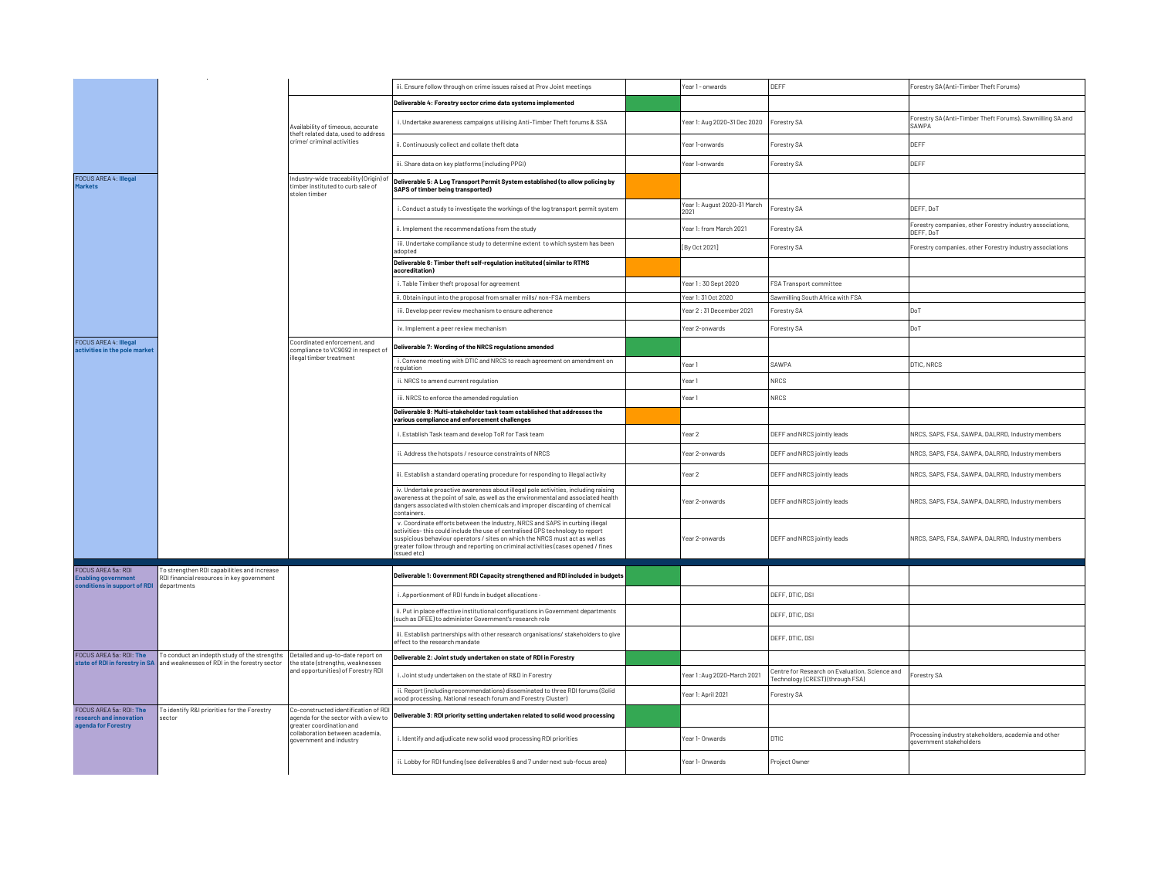|                                                               |                                                                                                                             |                                                                                                        | iii. Ensure follow through on crime issues raised at Prov Joint meetings                                                                                                                                                                                                                                                                           | Year 1 - onwards                     | DEFF                                                                               | Forestry SA (Anti-Timber Theft Forums)                                          |
|---------------------------------------------------------------|-----------------------------------------------------------------------------------------------------------------------------|--------------------------------------------------------------------------------------------------------|----------------------------------------------------------------------------------------------------------------------------------------------------------------------------------------------------------------------------------------------------------------------------------------------------------------------------------------------------|--------------------------------------|------------------------------------------------------------------------------------|---------------------------------------------------------------------------------|
|                                                               |                                                                                                                             | Availability of timeous, accurate<br>theft related data, used to address<br>crime/ criminal activities | Deliverable 4: Forestry sector crime data systems implemented                                                                                                                                                                                                                                                                                      |                                      |                                                                                    |                                                                                 |
|                                                               |                                                                                                                             |                                                                                                        | i. Undertake awareness campaigns utilising Anti-Timber Theft forums & SSA                                                                                                                                                                                                                                                                          | Year 1: Aug 2020-31 Dec 2020         | Forestry SA                                                                        | Forestry SA (Anti-Timber Theft Forums), Sawmilling SA and<br>SAWPA              |
|                                                               |                                                                                                                             |                                                                                                        | ii. Continuously collect and collate theft data                                                                                                                                                                                                                                                                                                    | Year 1-onwards                       | Forestry SA                                                                        | DEFF                                                                            |
|                                                               |                                                                                                                             |                                                                                                        | iii. Share data on key platforms (including PPGI)                                                                                                                                                                                                                                                                                                  | Year 1-onwards                       | Forestry SA                                                                        | DEFF                                                                            |
| <b>FOCUS AREA 4: Illegal</b><br><b>Markets</b>                |                                                                                                                             | Industry-wide traceability (Origin) of<br>timber instituted to curb sale of<br>stolen timber           | Deliverable 5: A Log Transport Permit System established (to allow policing by<br><b>SAPS of timber being transported)</b>                                                                                                                                                                                                                         |                                      |                                                                                    |                                                                                 |
|                                                               |                                                                                                                             |                                                                                                        | i. Conduct a study to investigate the workings of the log transport permit system                                                                                                                                                                                                                                                                  | Year 1: August 2020-31 March<br>2021 | Forestry SA                                                                        | DEFF, DoT                                                                       |
|                                                               |                                                                                                                             |                                                                                                        | ii. Implement the recommendations from the study                                                                                                                                                                                                                                                                                                   | Year 1: from March 2021              | Forestry SA                                                                        | Forestry companies, other Forestry industry associations,<br>DEFF, DoT          |
|                                                               |                                                                                                                             |                                                                                                        | iii. Undertake compliance study to determine extent to which system has been<br>adopted                                                                                                                                                                                                                                                            | [By Oct 2021]                        | Forestry SA                                                                        | Forestry companies, other Forestry industry associations                        |
|                                                               |                                                                                                                             |                                                                                                        | Deliverable 6: Timber theft self-regulation instituted (similar to RTMS<br>accreditation)                                                                                                                                                                                                                                                          |                                      |                                                                                    |                                                                                 |
|                                                               |                                                                                                                             |                                                                                                        | i. Table Timber theft proposal for agreement                                                                                                                                                                                                                                                                                                       | Year 1:30 Sept 2020                  | FSA Transport committee                                                            |                                                                                 |
|                                                               |                                                                                                                             |                                                                                                        | ii. Obtain input into the proposal from smaller mills/ non-FSA members                                                                                                                                                                                                                                                                             | Year 1: 31 Oct 2020                  | Sawmilling South Africa with FSA                                                   |                                                                                 |
|                                                               |                                                                                                                             |                                                                                                        | iii. Develop peer review mechanism to ensure adherence                                                                                                                                                                                                                                                                                             | Year 2:31 December 2021              | Forestry SA                                                                        | DoT                                                                             |
|                                                               |                                                                                                                             |                                                                                                        | iv. Implement a peer review mechanism                                                                                                                                                                                                                                                                                                              | Year 2-onwards                       | Forestry SA                                                                        | DoT                                                                             |
| <b>FOCUS AREA 4: Illegal</b><br>activities in the pole market |                                                                                                                             | Coordinated enforcement, and<br>compliance to VC9092 in respect of                                     | Deliverable 7: Wording of the NRCS regulations amended                                                                                                                                                                                                                                                                                             |                                      |                                                                                    |                                                                                 |
|                                                               |                                                                                                                             | illegal timber treatment                                                                               | i. Convene meeting with DTIC and NRCS to reach agreement on amendment on<br>regulation                                                                                                                                                                                                                                                             | Year 1                               | SAWPA                                                                              | DTIC, NRCS                                                                      |
|                                                               |                                                                                                                             |                                                                                                        | ii. NRCS to amend current regulation                                                                                                                                                                                                                                                                                                               | Year1                                | NRCS                                                                               |                                                                                 |
|                                                               |                                                                                                                             |                                                                                                        | iii. NRCS to enforce the amended regulation                                                                                                                                                                                                                                                                                                        | Year 1                               | NRCS                                                                               |                                                                                 |
|                                                               |                                                                                                                             |                                                                                                        | Deliverable 8: Multi-stakeholder task team established that addresses the<br>various compliance and enforcement challenges                                                                                                                                                                                                                         |                                      |                                                                                    |                                                                                 |
|                                                               |                                                                                                                             |                                                                                                        | i. Establish Task team and develop ToR for Task team                                                                                                                                                                                                                                                                                               | Year 2                               | DEFF and NRCS jointly leads                                                        | NRCS, SAPS, FSA, SAWPA, DALRRD, Industry members                                |
|                                                               |                                                                                                                             |                                                                                                        | ii. Address the hotspots / resource constraints of NRCS                                                                                                                                                                                                                                                                                            | Year 2-onwards                       | DEFF and NRCS jointly leads                                                        | NRCS, SAPS, FSA, SAWPA, DALRRD, Industry members                                |
|                                                               |                                                                                                                             |                                                                                                        | iii. Establish a standard operating procedure for responding to illegal activity                                                                                                                                                                                                                                                                   | Year 2                               | DEFF and NRCS jointly leads                                                        | NRCS, SAPS, FSA, SAWPA, DALRRD, Industry members                                |
|                                                               |                                                                                                                             |                                                                                                        | iv. Undertake proactive awareness about illegal pole activities, including raising<br>awareness at the point of sale, as well as the environmental and associated health<br>dangers associated with stolen chemicals and improper discarding of chemical<br>containers.                                                                            | Year 2-onwards                       | DEFF and NRCS jointly leads                                                        | NRCS, SAPS, FSA, SAWPA, DALRRD, Industry members                                |
|                                                               |                                                                                                                             |                                                                                                        | v. Coordinate efforts between the Industry, NRCS and SAPS in curbing illegal<br>activities- this could include the use of centralised GPS technology to report<br>suspicious behaviour operators / sites on which the NRCS must act as well as<br>greater follow through and reporting on criminal activities (cases opened / fines<br>issued etc) | Year 2-onwards                       | DEFF and NRCS jointly leads                                                        | NRCS, SAPS, FSA, SAWPA, DALRRD, Industry members                                |
| FOCUS AREA 5a: RDI<br><b>Enabling government</b>              | To strengthen RDI capabilities and increase<br>RDI financial resources in key government                                    |                                                                                                        | Deliverable 1: Government RDI Capacity strengthened and RDI included in budgets                                                                                                                                                                                                                                                                    |                                      |                                                                                    |                                                                                 |
| conditions in support of RDI                                  | departments                                                                                                                 |                                                                                                        | i. Apportionment of RDI funds in budget allocations                                                                                                                                                                                                                                                                                                |                                      | DEFF, DTIC, DSI                                                                    |                                                                                 |
|                                                               |                                                                                                                             |                                                                                                        | ii. Put in place effective institutional configurations in Government departments<br>such as DFEE) to administer Government's research role                                                                                                                                                                                                        |                                      | DEFF, DTIC, DSI                                                                    |                                                                                 |
|                                                               |                                                                                                                             |                                                                                                        | iii. Establish partnerships with other research organisations/ stakeholders to give<br>effect to the research mandate                                                                                                                                                                                                                              |                                      | DEFF, DTIC, DSI                                                                    |                                                                                 |
| FOCUS AREA 5a: RDI: The                                       | To conduct an indepth study of the strengths<br>state of RDI in forestry in SA and weaknesses of RDI in the forestry sector | Detailed and up-to-date report on<br>the state (strengths, weaknesses)                                 | Deliverable 2: Joint study undertaken on state of RDI in Forestry                                                                                                                                                                                                                                                                                  |                                      |                                                                                    |                                                                                 |
|                                                               |                                                                                                                             | and opportunities) of Forestry RDI                                                                     | i. Joint study undertaken on the state of R&D in Forestry                                                                                                                                                                                                                                                                                          | Year 1: Aug 2020-March 2021          | Centre for Research on Evaluation, Science and<br>Technology (CREST) (through FSA) | Forestry SA                                                                     |
|                                                               |                                                                                                                             |                                                                                                        | ii. Report (including recommendations) disseminated to three RDI forums (Solid<br>vood processing, National reseach forum and Forestry Cluster)                                                                                                                                                                                                    | Year 1: April 2021                   | Forestry SA                                                                        |                                                                                 |
| FOCUS AREA 5a: RDI: The<br>research and innovation            | To identify R&I priorities for the Forestry<br>sector                                                                       | Co-constructed identification of RD<br>agenda for the sector with a view to                            | Deliverable 3: RDI priority setting undertaken related to solid wood processing                                                                                                                                                                                                                                                                    |                                      |                                                                                    |                                                                                 |
| agenda for Forestry                                           |                                                                                                                             | greater coordination and<br>collaboration between academia,<br>government and industry                 | i. Identify and adjudicate new solid wood processing RDI priorities                                                                                                                                                                                                                                                                                | Year 1- Onwards                      | <b>DTIC</b>                                                                        | Processing industry stakeholders, academia and other<br>government stakeholders |
|                                                               |                                                                                                                             |                                                                                                        | ii. Lobby for RDI funding (see deliverables 6 and 7 under next sub-focus area)                                                                                                                                                                                                                                                                     | Year 1- Onwards                      | Project Owner                                                                      |                                                                                 |
|                                                               |                                                                                                                             |                                                                                                        |                                                                                                                                                                                                                                                                                                                                                    |                                      |                                                                                    |                                                                                 |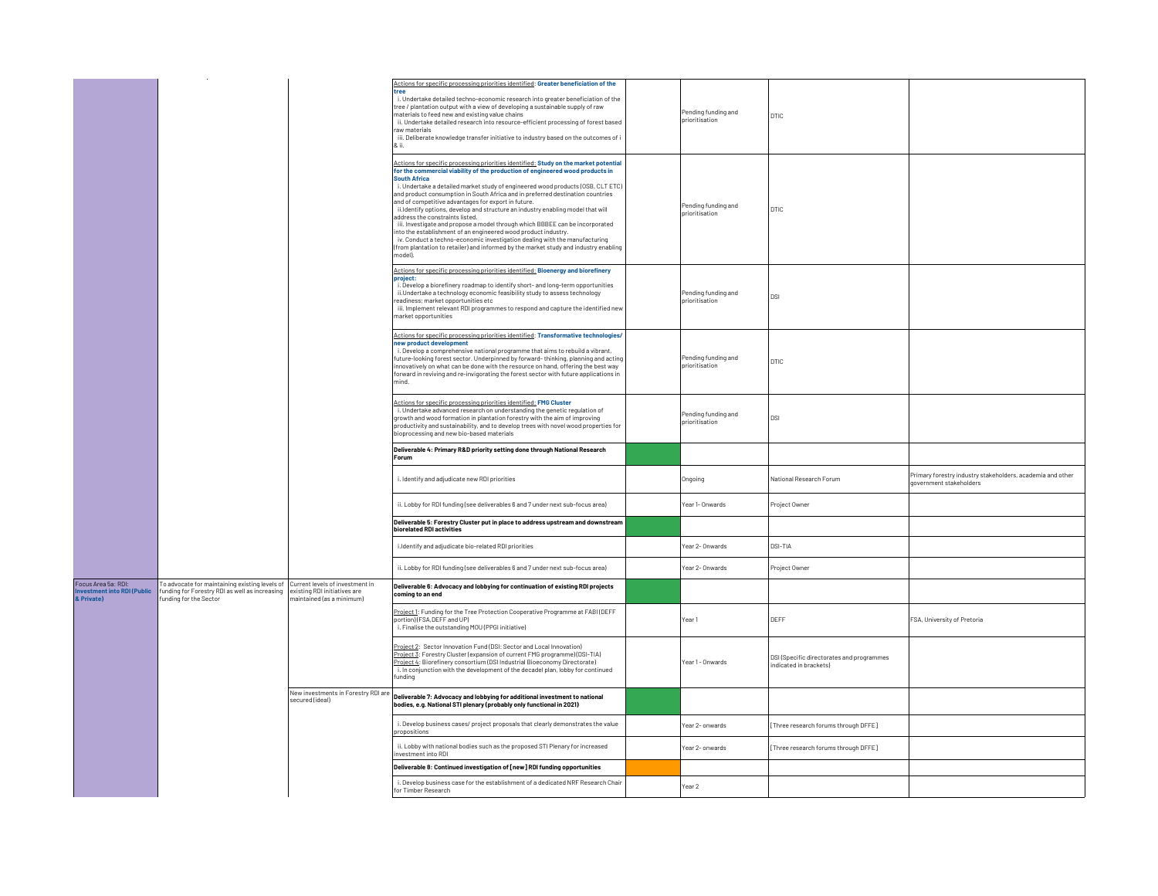|                                                                 |                                                                                                                                                            |                                                           | Actions for specific processing priorities identified: Greater beneficiation of the<br>i. Undertake detailed techno-economic research into greater beneficiation of the<br>tree / plantation output with a view of developing a sustainable supply of raw<br>materials to feed new and existing value chains<br>ii. Undertake detailed research into resource-efficient processing of forest based<br>raw materials<br>iii. Deliberate knowledge transfer initiative to industry based on the outcomes of i<br>& ii.                                                                                                                                                                                                                                                                                                                                                              | Pending funding and<br>prioritisation | DTIC                                                               |                                                                                       |
|-----------------------------------------------------------------|------------------------------------------------------------------------------------------------------------------------------------------------------------|-----------------------------------------------------------|-----------------------------------------------------------------------------------------------------------------------------------------------------------------------------------------------------------------------------------------------------------------------------------------------------------------------------------------------------------------------------------------------------------------------------------------------------------------------------------------------------------------------------------------------------------------------------------------------------------------------------------------------------------------------------------------------------------------------------------------------------------------------------------------------------------------------------------------------------------------------------------|---------------------------------------|--------------------------------------------------------------------|---------------------------------------------------------------------------------------|
|                                                                 |                                                                                                                                                            |                                                           | Actions for specific processing priorities identified: Study on the market potential<br>for the commercial viability of the production of engineered wood products in<br><b>South Africa</b><br>i. Undertake a detailed market study of engineered wood products (OSB, CLT ETC)<br>and product consumption in South Africa and in preferred destination countries<br>and of competitive advantages for export in future.<br>ii.ldentify options, develop and structure an industry enabling model that will<br>address the constraints listed.<br>iii. Investigate and propose a model through which BBBEE can be incorporated<br>into the establishment of an engineered wood product industry.<br>iv. Conduct a techno-economic investigation dealing with the manufacturing<br>(from plantation to retailer) and informed by the market study and industry enabling<br>model). | Pending funding and<br>prioritisation | DTIC                                                               |                                                                                       |
|                                                                 |                                                                                                                                                            |                                                           | Actions for specific processing priorities identified: Bioenergy and biorefinery<br>project:<br>i. Develop a biorefinery roadmap to identify short- and long-term opportunities<br>ii.Undertake a technology economic feasibility study to assess technology<br>readiness; market opportunities etc<br>iii. Implement relevant RDI programmes to respond and capture the identified new<br>market opportunities                                                                                                                                                                                                                                                                                                                                                                                                                                                                   | Pending funding and<br>prioritisation | ldsi                                                               |                                                                                       |
|                                                                 |                                                                                                                                                            |                                                           | Actions for specific processing priorities identified: Transformative technologies/<br>new product development<br>i. Develop a comprehensive national programme that aims to rebuild a vibrant,<br>future-looking forest sector. Underpinned by forward-thinking, planning and acting<br>innovatively on what can be done with the resource on hand, offering the best way<br>forward in reviving and re-invigorating the forest sector with future applications in<br>mind.                                                                                                                                                                                                                                                                                                                                                                                                      | Pending funding and<br>prioritisation | DTIC                                                               |                                                                                       |
|                                                                 |                                                                                                                                                            |                                                           | Actions for specific processing priorities identified: FMG Cluster<br>i. Undertake advanced research on understanding the genetic regulation of<br>growth and wood formation in plantation forestry with the aim of improving<br>productivity and sustainability, and to develop trees with novel wood properties for<br>bioprocessing and new bio-based materials                                                                                                                                                                                                                                                                                                                                                                                                                                                                                                                | Pending funding and<br>prioritisation | DSI.                                                               |                                                                                       |
|                                                                 |                                                                                                                                                            |                                                           | Deliverable 4: Primary R&D priority setting done through National Research<br>Forum                                                                                                                                                                                                                                                                                                                                                                                                                                                                                                                                                                                                                                                                                                                                                                                               |                                       |                                                                    |                                                                                       |
|                                                                 |                                                                                                                                                            |                                                           | i. Identify and adjudicate new RDI priorities                                                                                                                                                                                                                                                                                                                                                                                                                                                                                                                                                                                                                                                                                                                                                                                                                                     | Ongoing                               | National Research Forum                                            | Primary forestry industry stakeholders, academia and other<br>government stakeholders |
|                                                                 |                                                                                                                                                            |                                                           | ii. Lobby for RDI funding (see deliverables 6 and 7 under next sub-focus area)                                                                                                                                                                                                                                                                                                                                                                                                                                                                                                                                                                                                                                                                                                                                                                                                    | Year 1- Onwards                       | Project Owner                                                      |                                                                                       |
|                                                                 |                                                                                                                                                            |                                                           | Deliverable 5: Forestry Cluster put in place to address upstream and downstream<br>biorelated RDI activities                                                                                                                                                                                                                                                                                                                                                                                                                                                                                                                                                                                                                                                                                                                                                                      |                                       |                                                                    |                                                                                       |
|                                                                 |                                                                                                                                                            |                                                           | i.Identify and adjudicate bio-related RDI priorities                                                                                                                                                                                                                                                                                                                                                                                                                                                                                                                                                                                                                                                                                                                                                                                                                              | Year 2- Onwards                       | DSI-TIA                                                            |                                                                                       |
|                                                                 |                                                                                                                                                            |                                                           | ii. Lobby for RDI funding (see deliverables 6 and 7 under next sub-focus area)                                                                                                                                                                                                                                                                                                                                                                                                                                                                                                                                                                                                                                                                                                                                                                                                    | Year 2- Onwards                       | Project Owner                                                      |                                                                                       |
| Focus Area 5a: RDI:<br>nvestment into RDI (Public<br>& Private) | To advocate for maintaining existing levels of Current levels of investment in<br>funding for Forestry RDI as well as increasing<br>funding for the Sector | existing RDI initiatives are<br>naintained (as a minimum) | Deliverable 6: Advocacy and lobbying for continuation of existing RDI projects<br>coming to an end                                                                                                                                                                                                                                                                                                                                                                                                                                                                                                                                                                                                                                                                                                                                                                                |                                       |                                                                    |                                                                                       |
|                                                                 |                                                                                                                                                            |                                                           | Project 1: Funding for the Tree Protection Cooperative Programme at FABI (DEFF<br>portion)(FSA.DEFF and UP)<br>i. Finalise the outstanding MOU (PPGI initiative)                                                                                                                                                                                                                                                                                                                                                                                                                                                                                                                                                                                                                                                                                                                  | Year 1                                | DEFF                                                               | FSA, University of Pretoria                                                           |
|                                                                 |                                                                                                                                                            |                                                           | Project 2: Sector Innovation Fund (DSI: Sector and Local Innovation)<br>Project 3: Forestry Cluster (expansion of current FMG programme) (DSI-TIA)<br>Project 4: Biorefinery consortium (DSI Industrial Bioeconomy Directorate)<br>i. In conjunction with the development of the decadel plan, lobby for continued<br>funding                                                                                                                                                                                                                                                                                                                                                                                                                                                                                                                                                     | Year 1 - Onwards                      | DSI (Specific directorates and programmes<br>ndicated in brackets) |                                                                                       |
|                                                                 |                                                                                                                                                            | New investments in Forestry RDI are<br>secured (ideal)    | Deliverable 7: Advocacy and lobbying for additional investment to national<br>bodies, e.g. National STI plenary (probably only functional in 2021)                                                                                                                                                                                                                                                                                                                                                                                                                                                                                                                                                                                                                                                                                                                                |                                       |                                                                    |                                                                                       |
|                                                                 |                                                                                                                                                            |                                                           | i. Develop business cases/ project proposals that clearly demonstrates the value<br>propositions                                                                                                                                                                                                                                                                                                                                                                                                                                                                                                                                                                                                                                                                                                                                                                                  | Year 2- onwards                       | Three research forums through DFFE]                                |                                                                                       |
|                                                                 |                                                                                                                                                            |                                                           | ii. Lobby with national bodies such as the proposed STI Plenary for increased<br>investment into RDI                                                                                                                                                                                                                                                                                                                                                                                                                                                                                                                                                                                                                                                                                                                                                                              | Year 2- onwards                       | Three research forums through DFFE]                                |                                                                                       |
|                                                                 |                                                                                                                                                            |                                                           |                                                                                                                                                                                                                                                                                                                                                                                                                                                                                                                                                                                                                                                                                                                                                                                                                                                                                   |                                       |                                                                    |                                                                                       |
|                                                                 |                                                                                                                                                            |                                                           | Deliverable 8: Continued investigation of [new] RDI funding opportunities                                                                                                                                                                                                                                                                                                                                                                                                                                                                                                                                                                                                                                                                                                                                                                                                         |                                       |                                                                    |                                                                                       |
|                                                                 |                                                                                                                                                            |                                                           | i. Develop business case for the establishment of a dedicated NRF Research Chair<br>for Timber Research                                                                                                                                                                                                                                                                                                                                                                                                                                                                                                                                                                                                                                                                                                                                                                           | Year 2                                |                                                                    |                                                                                       |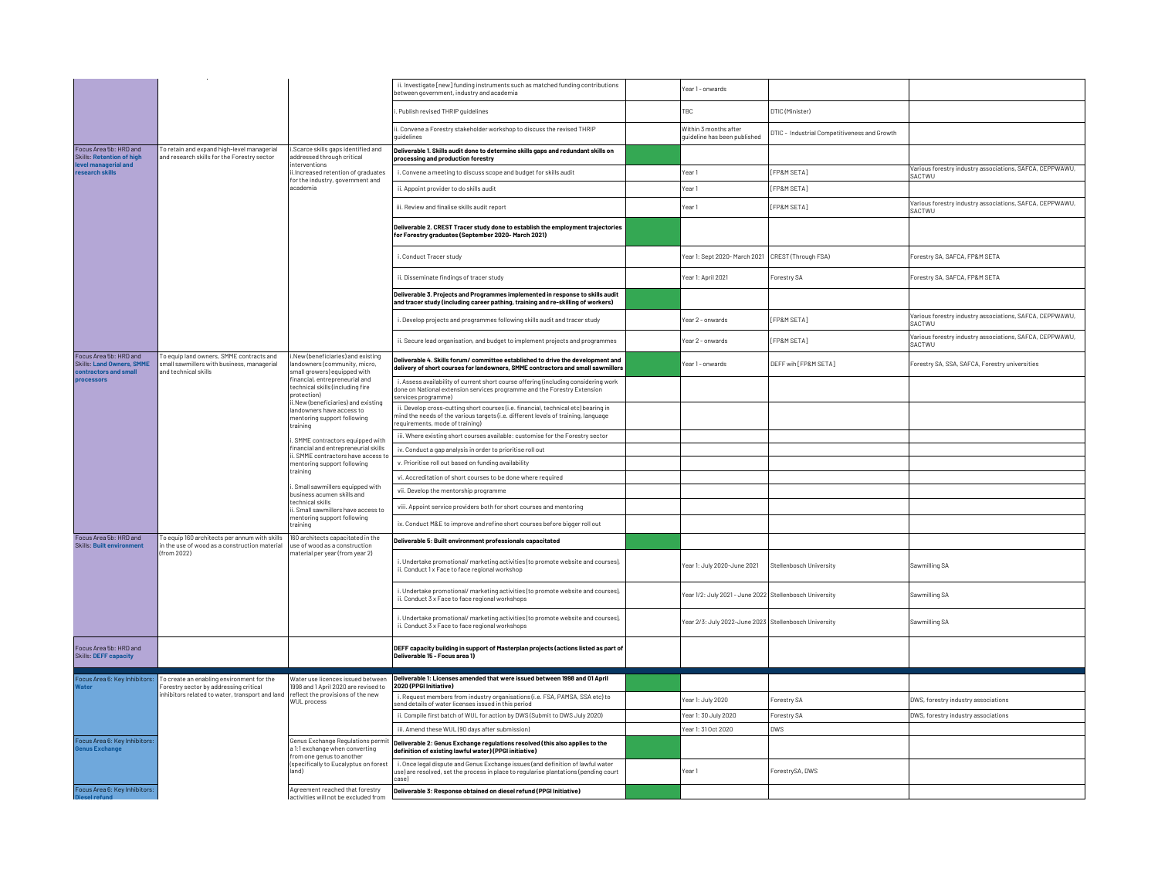|                                                                                     |                                                                                                                |                                                                                                                                                                                                                                                  | ii. Investigate [new] funding instruments such as matched funding contributions<br>between government, industry and academia                                                                                | ear 1 - onwards                                         |                                              |                                                                           |
|-------------------------------------------------------------------------------------|----------------------------------------------------------------------------------------------------------------|--------------------------------------------------------------------------------------------------------------------------------------------------------------------------------------------------------------------------------------------------|-------------------------------------------------------------------------------------------------------------------------------------------------------------------------------------------------------------|---------------------------------------------------------|----------------------------------------------|---------------------------------------------------------------------------|
|                                                                                     |                                                                                                                |                                                                                                                                                                                                                                                  | . Publish revised THRIP quidelines                                                                                                                                                                          | TRC                                                     | DTIC (Minister)                              |                                                                           |
|                                                                                     |                                                                                                                |                                                                                                                                                                                                                                                  | ii. Convene a Forestry stakeholder workshop to discuss the revised THRIP<br>auidelines                                                                                                                      | Within 3 months after<br>quideline has been published   | DTIC - Industrial Competitiveness and Growth |                                                                           |
| Focus Area 5b: HRD and<br><b>Skills: Retention of high</b>                          | To retain and expand high-level managerial<br>and research skills for the Forestry sector                      | i.Scarce skills gaps identified and<br>addressed through critical<br>interventions<br>ii.Increased retention of graduates                                                                                                                        | Deliverable 1. Skills audit done to determine skills gaps and redundant skills on<br>processing and production forestry                                                                                     |                                                         |                                              |                                                                           |
| level managerial and<br>research skills                                             |                                                                                                                |                                                                                                                                                                                                                                                  | i. Convene a meeting to discuss scope and budget for skills audit                                                                                                                                           | Year 1                                                  | [FP&M SETA]                                  | Various forestry industry associations, SAFCA, CEPPWAWU,<br>SACTWU        |
|                                                                                     |                                                                                                                | for the industry, government and<br>academia                                                                                                                                                                                                     | ii. Appoint provider to do skills audit                                                                                                                                                                     | rear <sub>1</sub>                                       | <b>FP&amp;M SETA1</b>                        |                                                                           |
|                                                                                     |                                                                                                                |                                                                                                                                                                                                                                                  | iii. Review and finalise skills audit report                                                                                                                                                                | Year 1                                                  | [FP&M SETA]                                  | Various forestry industry associations, SAFCA, CEPPWAWU,<br>SACTWU        |
|                                                                                     |                                                                                                                |                                                                                                                                                                                                                                                  | Deliverable 2. CREST Tracer study done to establish the employment trajectories<br>for Forestry graduates (September 2020- March 2021)                                                                      |                                                         |                                              |                                                                           |
|                                                                                     |                                                                                                                |                                                                                                                                                                                                                                                  | i. Conduct Tracer study                                                                                                                                                                                     | Year 1: Sept 2020- March 2021 CREST (Through FSA)       |                                              | Forestry SA, SAFCA, FP&M SETA                                             |
|                                                                                     |                                                                                                                |                                                                                                                                                                                                                                                  | ii. Disseminate findings of tracer study                                                                                                                                                                    | Year 1: April 2021                                      | Forestry SA                                  | Forestry SA, SAFCA, FP&M SETA                                             |
|                                                                                     |                                                                                                                |                                                                                                                                                                                                                                                  | Deliverable 3. Proiects and Programmes implemented in response to skills audit<br>and tracer study (including career pathing, training and re-skilling of workers)                                          |                                                         |                                              |                                                                           |
|                                                                                     |                                                                                                                |                                                                                                                                                                                                                                                  | i. Develop projects and programmes following skills audit and tracer study                                                                                                                                  | Year 2 - onwards                                        | [FP&M SETA]                                  | Various forestry industry associations, SAFCA, CEPPWAWU,<br><b>SACTWU</b> |
|                                                                                     |                                                                                                                |                                                                                                                                                                                                                                                  | ii. Secure lead organisation, and budget to implement projects and programmes                                                                                                                               | ear 2 - onwards                                         | [FP&M SETA]                                  | Various forestry industry associations, SAFCA, CEPPWAWU,<br>SACTWU        |
| Focus Area 5b: HRD and<br><b>Skills: Land Owners, SMME</b><br>contractors and small | To equip land owners, SMME contracts and<br>small sawmillers with business, managerial<br>and technical skills | .New (beneficiaries) and existing<br>andowners (community, micro,<br>small growers) equipped with                                                                                                                                                | Deliverable 4. Skills forum/ committee established to drive the development and<br>delivery of short courses for landowners, SMME contractors and small sawmillers                                          | ear 1 - onwards                                         | DEFF wih [FP&M SETA]                         | Forestry SA, SSA, SAFCA, Forestry universities                            |
| <b>processors</b>                                                                   |                                                                                                                | financial, entrepreneurial and<br>technical skills (including fire<br>protection)<br>ii.New (beneficiaries) and existing                                                                                                                         | i. Assess availability of current short course offering (including considering work<br>done on National extension services programme and the Forestry Extension<br>services programme)                      |                                                         |                                              |                                                                           |
|                                                                                     |                                                                                                                | landowners have access to<br>mentoring support following<br>training                                                                                                                                                                             | ii. Develop cross-cutting short courses (i.e. financial, technical etc) bearing in<br>mind the needs of the various targets (i.e. different levels of training, language<br>requirements, mode of training) |                                                         |                                              |                                                                           |
|                                                                                     |                                                                                                                | . SMME contractors equipped with                                                                                                                                                                                                                 | iii. Where existing short courses available: customise for the Forestry sector                                                                                                                              |                                                         |                                              |                                                                           |
|                                                                                     |                                                                                                                | financial and entrepreneurial skills<br>. SMME contractors have access t<br>mentoring support following<br>training<br>i. Small sawmillers equipped with<br>business acumen skills and<br>technical skills<br>i. Small sawmillers have access to | iv. Conduct a gap analysis in order to prioritise roll out                                                                                                                                                  |                                                         |                                              |                                                                           |
|                                                                                     |                                                                                                                |                                                                                                                                                                                                                                                  | v. Prioritise roll out based on funding availability                                                                                                                                                        |                                                         |                                              |                                                                           |
|                                                                                     |                                                                                                                |                                                                                                                                                                                                                                                  | vi. Accreditation of short courses to be done where required                                                                                                                                                |                                                         |                                              |                                                                           |
|                                                                                     |                                                                                                                |                                                                                                                                                                                                                                                  | vii. Develop the mentorship programme                                                                                                                                                                       |                                                         |                                              |                                                                           |
|                                                                                     |                                                                                                                |                                                                                                                                                                                                                                                  | viii. Appoint service providers both for short courses and mentoring                                                                                                                                        |                                                         |                                              |                                                                           |
|                                                                                     |                                                                                                                | mentoring support following<br>training                                                                                                                                                                                                          | ix. Conduct M&E to improve and refine short courses before bigger roll out                                                                                                                                  |                                                         |                                              |                                                                           |
| Focus Area 5b: HRD and<br><b>Skills: Built environment</b>                          | To equip 160 architects per annum with skills<br>in the use of wood as a construction material                 | 160 architects capacitated in the<br>use of wood as a construction                                                                                                                                                                               | Deliverable 5: Built environment professionals capacitated                                                                                                                                                  |                                                         |                                              |                                                                           |
|                                                                                     | (from 2022)                                                                                                    | naterial per year (from year 2)                                                                                                                                                                                                                  | i. Undertake promotional/marketing activities (to promote website and courses),<br>ii. Conduct 1 x Face to face regional workshop                                                                           | Year 1: July 2020-June 2021                             | Stellenbosch University                      | Sawmilling SA                                                             |
|                                                                                     |                                                                                                                |                                                                                                                                                                                                                                                  | i. Undertake promotional/marketing activities (to promote website and courses),<br>ii. Conduct 3 x Face to face regional workshops                                                                          | Year 1/2: July 2021 - June 2022 Stellenbosch University |                                              | Sawmilling SA                                                             |
|                                                                                     |                                                                                                                |                                                                                                                                                                                                                                                  | i. Undertake promotional/marketing activities (to promote website and courses),<br>ii. Conduct 3 x Face to face regional workshops                                                                          | Year 2/3: July 2022-June 2023 Stellenbosch University   |                                              | Sawmilling SA                                                             |
| Focus Area 5b: HRD and<br><b>Skills: DEFF capacity</b>                              |                                                                                                                |                                                                                                                                                                                                                                                  | DEFF capacity building in support of Masterplan projects (actions listed as part of<br>Deliverable 15 - Focus area 1)                                                                                       |                                                         |                                              |                                                                           |
| Focus Area 6: Key Inhibitors:                                                       | o create an enabling environment for the                                                                       | Water use licences issued between                                                                                                                                                                                                                | Deliverable 1: Licenses amended that were issued between 1998 and 01 April                                                                                                                                  |                                                         |                                              |                                                                           |
| <b>Nater</b>                                                                        | orestry sector by addressing critical<br>nhibitors related to water, transport and land                        | 1998 and 1 April 2020 are revised to<br>reflect the provisions of the new                                                                                                                                                                        | 2020 (PPGI Initiative)<br>i. Request members from industry organisations (i.e. FSA, PAMSA, SSA etc) to                                                                                                      |                                                         |                                              |                                                                           |
|                                                                                     |                                                                                                                | <b>WUL</b> process                                                                                                                                                                                                                               | send details of water licenses issued in this period                                                                                                                                                        | Year 1: July 2020                                       | Forestry SA                                  | DWS, forestry industry associations                                       |
|                                                                                     |                                                                                                                |                                                                                                                                                                                                                                                  | ii. Compile first batch of WUL for action by DWS (Submit to DWS July 2020)                                                                                                                                  | Year 1: 30 July 2020                                    | Forestry SA                                  | DWS, forestry industry associations                                       |
|                                                                                     |                                                                                                                |                                                                                                                                                                                                                                                  | iii. Amend these WUL (90 days after submission)                                                                                                                                                             | Year 1: 31 Oct 2020                                     | <b>DWS</b>                                   |                                                                           |
| Focus Area 6: Key Inhibitors:<br><b>Genus Exchange</b>                              |                                                                                                                | Genus Exchange Regulations permit<br>a 1:1 exchange when converting<br>from one genus to another                                                                                                                                                 | Deliverable 2: Genus Exchange regulations resolved (this also applies to the<br>definition of existing lawful water) (PPGI initiative)                                                                      |                                                         |                                              |                                                                           |
|                                                                                     |                                                                                                                | (specifically to Eucalyptus on forest<br>land)                                                                                                                                                                                                   | i. Once legal dispute and Genus Exchange issues (and definition of lawful water<br>use) are resolved, set the process in place to regularise plantations (pending court<br>case)                            | Year 1                                                  | ForestrySA, DWS                              |                                                                           |
| Focus Area 6: Key Inhibitors:                                                       |                                                                                                                | Agreement reached that forestry<br>activities will not be excluded from                                                                                                                                                                          | Deliverable 3: Response obtained on diesel refund (PPGI Initiative)                                                                                                                                         |                                                         |                                              |                                                                           |